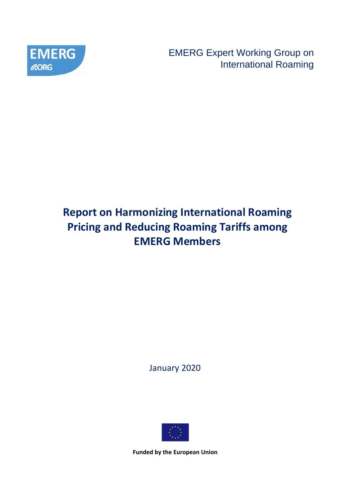

EMERG Expert Working Group on International Roaming

# **Report on Harmonizing International Roaming Pricing and Reducing Roaming Tariffs among EMERG Members**

January 2020

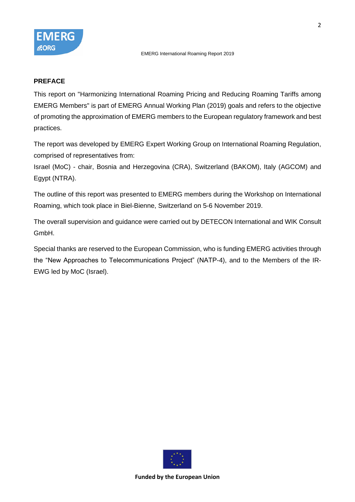

### **PREFACE**

This report on "Harmonizing International Roaming Pricing and Reducing Roaming Tariffs among EMERG Members" is part of EMERG Annual Working Plan (2019) goals and refers to the objective of promoting the approximation of EMERG members to the European regulatory framework and best practices.

The report was developed by EMERG Expert Working Group on International Roaming Regulation, comprised of representatives from:

Israel (MoC) - chair, Bosnia and Herzegovina (CRA), Switzerland (BAKOM), Italy (AGCOM) and Egypt (NTRA).

The outline of this report was presented to EMERG members during the Workshop on International Roaming, which took place in Biel-Bienne, Switzerland on 5-6 November 2019.

The overall supervision and guidance were carried out by DETECON International and WIK Consult GmbH.

Special thanks are reserved to the European Commission, who is funding EMERG activities through the "New Approaches to Telecommunications Project" (NATP-4), and to the Members of the IR-EWG led by MoC (Israel).

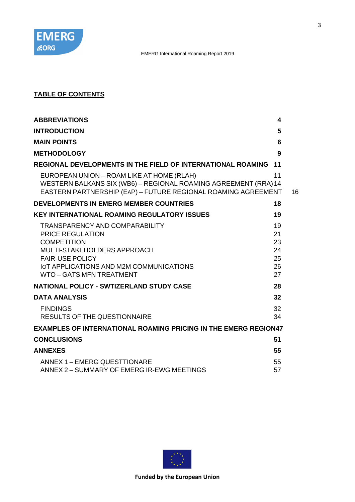

# **TABLE OF CONTENTS**

| <b>ABBREVIATIONS</b>                                                                                                                                                          | 4        |    |
|-------------------------------------------------------------------------------------------------------------------------------------------------------------------------------|----------|----|
| <b>INTRODUCTION</b>                                                                                                                                                           | 5        |    |
| <b>MAIN POINTS</b>                                                                                                                                                            | 6        |    |
| <b>METHODOLOGY</b>                                                                                                                                                            | 9        |    |
| REGIONAL DEVELOPMENTS IN THE FIELD OF INTERNATIONAL ROAMING                                                                                                                   | 11       |    |
| EUROPEAN UNION - ROAM LIKE AT HOME (RLAH)<br>WESTERN BALKANS SIX (WB6) - REGIONAL ROAMING AGREEMENT (RRA) 14<br>EASTERN PARTNERSHIP (EAP) - FUTURE REGIONAL ROAMING AGREEMENT | 11       | 16 |
| DEVELOPMENTS IN EMERG MEMBER COUNTRIES                                                                                                                                        | 18       |    |
| <b>KEY INTERNATIONAL ROAMING REGULATORY ISSUES</b>                                                                                                                            | 19       |    |
| <b>TRANSPARENCY AND COMPARABILITY</b>                                                                                                                                         | 19       |    |
| <b>PRICE REGULATION</b>                                                                                                                                                       | 21       |    |
| <b>COMPETITION</b><br>MULTI-STAKEHOLDERS APPROACH                                                                                                                             | 23<br>24 |    |
| <b>FAIR-USE POLICY</b>                                                                                                                                                        | 25       |    |
| IOT APPLICATIONS AND M2M COMMUNICATIONS                                                                                                                                       | 26       |    |
| WTO - GATS MFN TREATMENT                                                                                                                                                      | 27       |    |
| <b>NATIONAL POLICY - SWTIZERLAND STUDY CASE</b>                                                                                                                               | 28       |    |
| <b>DATA ANALYSIS</b>                                                                                                                                                          | 32       |    |
| <b>FINDINGS</b>                                                                                                                                                               | 32       |    |
| <b>RESULTS OF THE QUESTIONNAIRE</b>                                                                                                                                           | 34       |    |
| <b>EXAMPLES OF INTERNATIONAL ROAMING PRICING IN THE EMERG REGION47</b>                                                                                                        |          |    |
| <b>CONCLUSIONS</b>                                                                                                                                                            | 51       |    |
| <b>ANNEXES</b>                                                                                                                                                                | 55       |    |
| ANNEX 1 - EMERG QUESTTIONARE                                                                                                                                                  | 55       |    |
| ANNEX 2 - SUMMARY OF EMERG IR-EWG MEETINGS                                                                                                                                    | 57       |    |

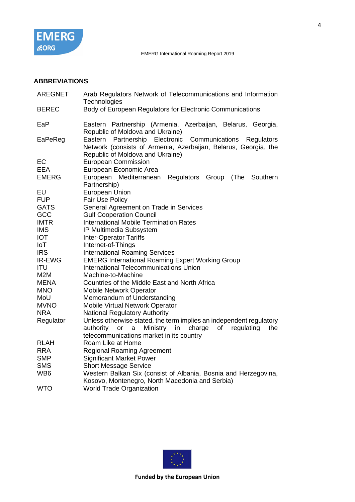

# **ABBREVIATIONS**

| <b>AREGNET</b>  | Arab Regulators Network of Telecommunications and Information<br>Technologies                                                                                      |  |  |  |  |  |  |  |
|-----------------|--------------------------------------------------------------------------------------------------------------------------------------------------------------------|--|--|--|--|--|--|--|
| <b>BEREC</b>    | Body of European Regulators for Electronic Communications                                                                                                          |  |  |  |  |  |  |  |
| EaP             | Eastern Partnership (Armenia, Azerbaijan, Belarus, Georgia,<br>Republic of Moldova and Ukraine)                                                                    |  |  |  |  |  |  |  |
| EaPeReg         | Eastern Partnership Electronic Communications<br>Regulators<br>Network (consists of Armenia, Azerbaijan, Belarus, Georgia, the<br>Republic of Moldova and Ukraine) |  |  |  |  |  |  |  |
| EC              | <b>European Commission</b>                                                                                                                                         |  |  |  |  |  |  |  |
| <b>EEA</b>      | European Economic Area                                                                                                                                             |  |  |  |  |  |  |  |
| <b>EMERG</b>    | European Mediterranean<br>(The<br>Regulators<br>Group<br>Southern                                                                                                  |  |  |  |  |  |  |  |
| EU              | Partnership)                                                                                                                                                       |  |  |  |  |  |  |  |
| <b>FUP</b>      | <b>European Union</b><br><b>Fair Use Policy</b>                                                                                                                    |  |  |  |  |  |  |  |
| <b>GATS</b>     | General Agreement on Trade in Services                                                                                                                             |  |  |  |  |  |  |  |
| GCC             | <b>Gulf Cooperation Council</b>                                                                                                                                    |  |  |  |  |  |  |  |
| <b>IMTR</b>     | <b>International Mobile Termination Rates</b>                                                                                                                      |  |  |  |  |  |  |  |
| <b>IMS</b>      | IP Multimedia Subsystem                                                                                                                                            |  |  |  |  |  |  |  |
| <b>IOT</b>      | <b>Inter-Operator Tariffs</b>                                                                                                                                      |  |  |  |  |  |  |  |
| IoT             | Internet-of-Things                                                                                                                                                 |  |  |  |  |  |  |  |
| <b>IRS</b>      | <b>International Roaming Services</b>                                                                                                                              |  |  |  |  |  |  |  |
| IR-EWG          | <b>EMERG International Roaming Expert Working Group</b>                                                                                                            |  |  |  |  |  |  |  |
| <b>ITU</b>      | International Telecommunications Union                                                                                                                             |  |  |  |  |  |  |  |
| M2M             | Machine-to-Machine                                                                                                                                                 |  |  |  |  |  |  |  |
| <b>MENA</b>     | Countries of the Middle East and North Africa                                                                                                                      |  |  |  |  |  |  |  |
| <b>MNO</b>      | <b>Mobile Network Operator</b>                                                                                                                                     |  |  |  |  |  |  |  |
| MoU             | Memorandum of Understanding                                                                                                                                        |  |  |  |  |  |  |  |
| <b>MVNO</b>     | <b>Mobile Virtual Network Operator</b>                                                                                                                             |  |  |  |  |  |  |  |
| <b>NRA</b>      | <b>National Regulatory Authority</b>                                                                                                                               |  |  |  |  |  |  |  |
| Regulator       | Unless otherwise stated, the term implies an independent regulatory<br>charge<br>regulating<br>authority<br>Ministry<br>of<br>the<br>or<br>a<br>in                 |  |  |  |  |  |  |  |
| <b>RLAH</b>     | telecommunications market in its country<br>Roam Like at Home                                                                                                      |  |  |  |  |  |  |  |
| <b>RRA</b>      | <b>Regional Roaming Agreement</b>                                                                                                                                  |  |  |  |  |  |  |  |
| <b>SMP</b>      | <b>Significant Market Power</b>                                                                                                                                    |  |  |  |  |  |  |  |
| <b>SMS</b>      | <b>Short Message Service</b>                                                                                                                                       |  |  |  |  |  |  |  |
| WB <sub>6</sub> | Western Balkan Six (consist of Albania, Bosnia and Herzegovina,                                                                                                    |  |  |  |  |  |  |  |
|                 | Kosovo, Montenegro, North Macedonia and Serbia)                                                                                                                    |  |  |  |  |  |  |  |
| <b>WTO</b>      | World Trade Organization                                                                                                                                           |  |  |  |  |  |  |  |
|                 |                                                                                                                                                                    |  |  |  |  |  |  |  |

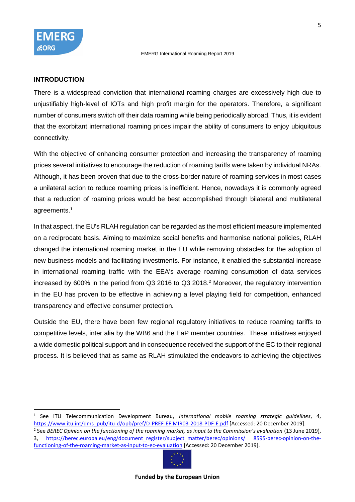

#### **INTRODUCTION**

There is a widespread conviction that international roaming charges are excessively high due to unjustifiably high-level of IOTs and high profit margin for the operators. Therefore, a significant number of consumers switch off their data roaming while being periodically abroad. Thus, it is evident that the exorbitant international roaming prices impair the ability of consumers to enjoy ubiquitous connectivity.

With the objective of enhancing consumer protection and increasing the transparency of roaming prices several initiatives to encourage the reduction of roaming tariffs were taken by individual NRAs. Although, it has been proven that due to the cross-border nature of roaming services in most cases a unilateral action to reduce roaming prices is inefficient. Hence, nowadays it is commonly agreed that a reduction of roaming prices would be best accomplished through bilateral and multilateral agreements.<sup>1</sup>

In that aspect, the EU's RLAH regulation can be regarded as the most efficient measure implemented on a reciprocate basis. Aiming to maximize social benefits and harmonise national policies, RLAH changed the international roaming market in the EU while removing obstacles for the adoption of new business models and facilitating investments. For instance, it enabled the substantial increase in international roaming traffic with the EEA's average roaming consumption of data services increased by 600% in the period from Q3 2016 to Q3 2018. <sup>2</sup> Moreover, the regulatory intervention in the EU has proven to be effective in achieving a level playing field for competition, enhanced transparency and effective consumer protection.

Outside the EU, there have been few regional regulatory initiatives to reduce roaming tariffs to competitive levels, inter alia by the WB6 and the EaP member countries. These initiatives enjoyed a wide domestic political support and in consequence received the support of the EC to their regional process. It is believed that as same as RLAH stimulated the endeavors to achieving the objectives

<sup>2</sup> See *BEREC Opinion on the functioning of the roaming market, as input to the Commission's evaluation* (13 June 2019), 3, [https://berec.europa.eu/eng/document\\_register/subject\\_matter/berec/opinions/ 8595-berec-opinion-on-the](https://berec.europa.eu/eng/document_register/subject_matter/berec/opinions/%208595-berec-opinion-on-the-functioning-of-the-roaming-market-as-input-to-ec-evaluation)[functioning-of-the-roaming-market-as-input-to-ec-evaluation](https://berec.europa.eu/eng/document_register/subject_matter/berec/opinions/%208595-berec-opinion-on-the-functioning-of-the-roaming-market-as-input-to-ec-evaluation) [Accessed: 20 December 2019].



<sup>1</sup> See ITU Telecommunication Development Bureau, *International mobile roaming strategic guidelines*, 4, [https://www.itu.int/dms\\_pub/itu-d/opb/pref/D-PREF-EF.MIR03-2018-PDF-E.pdf](https://www.itu.int/dms_pub/itu-d/opb/pref/D-PREF-EF.MIR03-2018-PDF-E.pdf) [Accessed: 20 December 2019].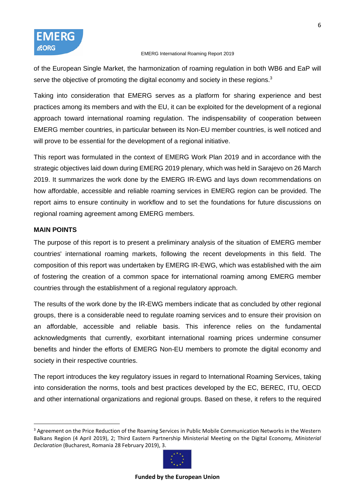of the European Single Market, the harmonization of roaming regulation in both WB6 and EaP will serve the objective of promoting the digital economy and society in these regions.<sup>3</sup>

Taking into consideration that EMERG serves as a platform for sharing experience and best practices among its members and with the EU, it can be exploited for the development of a regional approach toward international roaming regulation. The indispensability of cooperation between EMERG member countries, in particular between its Non-EU member countries, is well noticed and will prove to be essential for the development of a regional initiative.

This report was formulated in the context of EMERG Work Plan 2019 and in accordance with the strategic objectives laid down during EMERG 2019 plenary, which was held in Sarajevo on 26 March 2019. It summarizes the work done by the EMERG IR-EWG and lays down recommendations on how affordable, accessible and reliable roaming services in EMERG region can be provided. The report aims to ensure continuity in workflow and to set the foundations for future discussions on regional roaming agreement among EMERG members.

# **MAIN POINTS**

The purpose of this report is to present a preliminary analysis of the situation of EMERG member countries' international roaming markets, following the recent developments in this field. The composition of this report was undertaken by EMERG IR-EWG, which was established with the aim of fostering the creation of a common space for international roaming among EMERG member countries through the establishment of a regional regulatory approach.

The results of the work done by the IR-EWG members indicate that as concluded by other regional groups, there is a considerable need to regulate roaming services and to ensure their provision on an affordable, accessible and reliable basis. This inference relies on the fundamental acknowledgments that currently, exorbitant international roaming prices undermine consumer benefits and hinder the efforts of EMERG Non-EU members to promote the digital economy and society in their respective countries.

The report introduces the key regulatory issues in regard to International Roaming Services, taking into consideration the norms, tools and best practices developed by the EC, BEREC, ITU, OECD and other international organizations and regional groups. Based on these, it refers to the required

<sup>&</sup>lt;sup>3</sup> Agreement on the Price Reduction of the Roaming Services in Public Mobile Communication Networks in the Western Balkans Region (4 April 2019), 2; Third Eastern Partnership Ministerial Meeting on the Digital Economy, *Ministerial Declaration* (Bucharest, Romania 28 February 2019), 3.

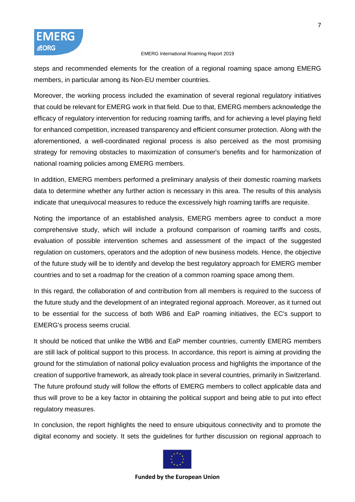steps and recommended elements for the creation of a regional roaming space among EMERG members, in particular among its Non-EU member countries.

Moreover, the working process included the examination of several regional regulatory initiatives that could be relevant for EMERG work in that field. Due to that, EMERG members acknowledge the efficacy of regulatory intervention for reducing roaming tariffs, and for achieving a level playing field for enhanced competition, increased transparency and efficient consumer protection. Along with the aforementioned, a well-coordinated regional process is also perceived as the most promising strategy for removing obstacles to maximization of consumer's benefits and for harmonization of national roaming policies among EMERG members.

In addition, EMERG members performed a preliminary analysis of their domestic roaming markets data to determine whether any further action is necessary in this area. The results of this analysis indicate that unequivocal measures to reduce the excessively high roaming tariffs are requisite.

Noting the importance of an established analysis, EMERG members agree to conduct a more comprehensive study, which will include a profound comparison of roaming tariffs and costs, evaluation of possible intervention schemes and assessment of the impact of the suggested regulation on customers, operators and the adoption of new business models. Hence, the objective of the future study will be to identify and develop the best regulatory approach for EMERG member countries and to set a roadmap for the creation of a common roaming space among them.

In this regard, the collaboration of and contribution from all members is required to the success of the future study and the development of an integrated regional approach. Moreover, as it turned out to be essential for the success of both WB6 and EaP roaming initiatives, the EC's support to EMERG's process seems crucial.

It should be noticed that unlike the WB6 and EaP member countries, currently EMERG members are still lack of political support to this process. In accordance, this report is aiming at providing the ground for the stimulation of national policy evaluation process and highlights the importance of the creation of supportive framework, as already took place in several countries, primarily in Switzerland. The future profound study will follow the efforts of EMERG members to collect applicable data and thus will prove to be a key factor in obtaining the political support and being able to put into effect regulatory measures.

In conclusion, the report highlights the need to ensure ubiquitous connectivity and to promote the digital economy and society. It sets the guidelines for further discussion on regional approach to

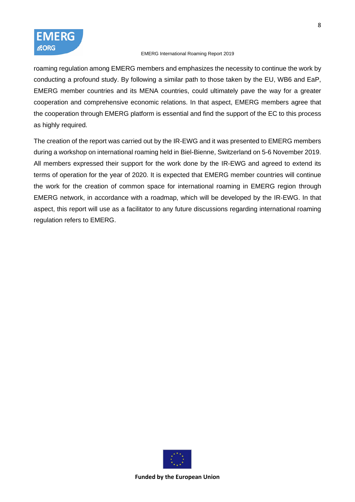

roaming regulation among EMERG members and emphasizes the necessity to continue the work by conducting a profound study. By following a similar path to those taken by the EU, WB6 and EaP, EMERG member countries and its MENA countries, could ultimately pave the way for a greater cooperation and comprehensive economic relations. In that aspect, EMERG members agree that the cooperation through EMERG platform is essential and find the support of the EC to this process as highly required.

The creation of the report was carried out by the IR-EWG and it was presented to EMERG members during a workshop on international roaming held in Biel-Bienne, Switzerland on 5-6 November 2019. All members expressed their support for the work done by the IR-EWG and agreed to extend its terms of operation for the year of 2020. It is expected that EMERG member countries will continue the work for the creation of common space for international roaming in EMERG region through EMERG network, in accordance with a roadmap, which will be developed by the IR-EWG. In that aspect, this report will use as a facilitator to any future discussions regarding international roaming regulation refers to EMERG.

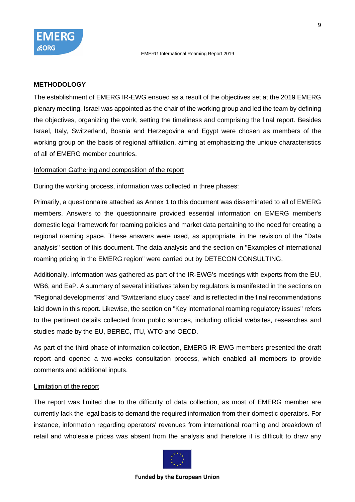

#### **METHODOLOGY**

The establishment of EMERG IR-EWG ensued as a result of the objectives set at the 2019 EMERG plenary meeting. Israel was appointed as the chair of the working group and led the team by defining the objectives, organizing the work, setting the timeliness and comprising the final report. Besides Israel, Italy, Switzerland, Bosnia and Herzegovina and Egypt were chosen as members of the working group on the basis of regional affiliation, aiming at emphasizing the unique characteristics of all of EMERG member countries.

#### Information Gathering and composition of the report

During the working process, information was collected in three phases:

Primarily, a questionnaire attached as Annex 1 to this document was disseminated to all of EMERG members. Answers to the questionnaire provided essential information on EMERG member's domestic legal framework for roaming policies and market data pertaining to the need for creating a regional roaming space. These answers were used, as appropriate, in the revision of the "Data analysis" section of this document. The data analysis and the section on "Examples of international roaming pricing in the EMERG region" were carried out by DETECON CONSULTING.

Additionally, information was gathered as part of the IR-EWG's meetings with experts from the EU, WB6, and EaP. A summary of several initiatives taken by regulators is manifested in the sections on "Regional developments" and "Switzerland study case" and is reflected in the final recommendations laid down in this report. Likewise, the section on "Key international roaming regulatory issues" refers to the pertinent details collected from public sources, including official websites, researches and studies made by the EU, BEREC, ITU, WTO and OECD.

As part of the third phase of information collection, EMERG IR-EWG members presented the draft report and opened a two-weeks consultation process, which enabled all members to provide comments and additional inputs.

#### Limitation of the report

The report was limited due to the difficulty of data collection, as most of EMERG member are currently lack the legal basis to demand the required information from their domestic operators. For instance, information regarding operators' revenues from international roaming and breakdown of retail and wholesale prices was absent from the analysis and therefore it is difficult to draw any

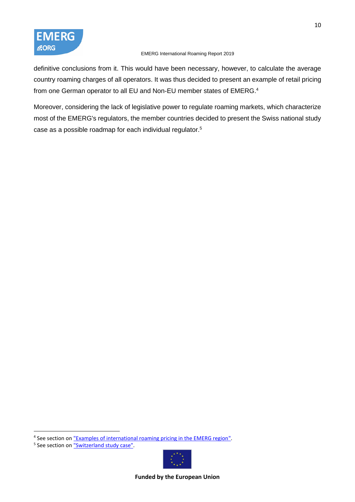

definitive conclusions from it. This would have been necessary, however, to calculate the average country roaming charges of all operators. It was thus decided to present an example of retail pricing from one German operator to all EU and Non-EU member states of EMERG.<sup>4</sup>

Moreover, considering the lack of legislative power to regulate roaming markets, which characterize most of the EMERG's regulators, the member countries decided to present the Swiss national study case as a possible roadmap for each individual regulator. 5



<sup>&</sup>lt;sup>4</sup> See section on **"Examples of international roaming pricing in the EMERG region"**.

<sup>&</sup>lt;sup>5</sup> See section on ["Switzerland study case".](#page-27-0)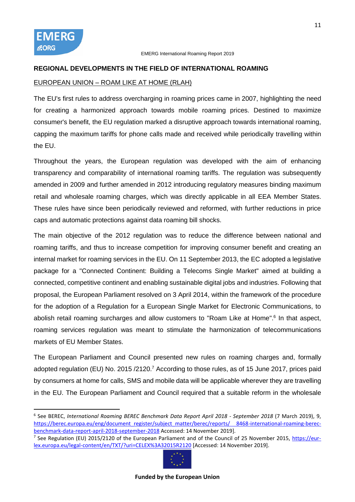### **REGIONAL DEVELOPMENTS IN THE FIELD OF INTERNATIONAL ROAMING**

### EUROPEAN UNION – ROAM LIKE AT HOME (RLAH)

The EU's first rules to address overcharging in roaming prices came in 2007, highlighting the need for creating a harmonized approach towards mobile roaming prices. Destined to maximize consumer's benefit, the EU regulation marked a disruptive approach towards international roaming, capping the maximum tariffs for phone calls made and received while periodically travelling within the EU.

Throughout the years, the European regulation was developed with the aim of enhancing transparency and comparability of international roaming tariffs. The regulation was subsequently amended in 2009 and further amended in 2012 introducing regulatory measures binding maximum retail and wholesale roaming charges, which was directly applicable in all EEA Member States. These rules have since been periodically reviewed and reformed, with further reductions in price caps and automatic protections against data roaming bill shocks.

The main objective of the 2012 regulation was to reduce the difference between national and roaming tariffs, and thus to increase competition for improving consumer benefit and creating an internal market for roaming services in the EU. On 11 September 2013, the EC adopted a legislative package for a "Connected Continent: Building a Telecoms Single Market" aimed at building a connected, competitive continent and enabling sustainable digital jobs and industries. Following that proposal, the European Parliament resolved on 3 April 2014, within the framework of the procedure for the adoption of a Regulation for a European Single Market for Electronic Communications, to abolish retail roaming surcharges and allow customers to "Roam Like at Home".<sup>6</sup> In that aspect, roaming services regulation was meant to stimulate the harmonization of telecommunications markets of EU Member States.

The European Parliament and Council presented new rules on roaming charges and, formally adopted regulation (EU) No. 2015/2120.<sup>7</sup> According to those rules, as of 15 June 2017, prices paid by consumers at home for calls, SMS and mobile data will be applicable wherever they are travelling in the EU. The European Parliament and Council required that a suitable reform in the wholesale

<sup>&</sup>lt;sup>7</sup> See Regulation (EU) 2015/2120 of the European Parliament and of the Council of 25 November 2015, [https://eur](https://eur-lex.europa.eu/legal-content/en/TXT/?uri=CELEX%3A32015R2120)[lex.europa.eu/legal-content/en/TXT/?uri=CELEX%3A32015R2120](https://eur-lex.europa.eu/legal-content/en/TXT/?uri=CELEX%3A32015R2120) [Accessed: 14 November 2019].



<sup>6</sup> See BEREC, *International Roaming BEREC Benchmark Data Report April 2018 - September 2018* (7 March 2019), 9, [https://berec.europa.eu/eng/document\\_register/subject\\_matter/berec/reports/ 8468-international-roaming-berec](https://berec.europa.eu/eng/document_register/subject_matter/berec/reports/%208468-international-roaming-berec-benchmark-data-report-april-2018-september-2018)[benchmark-data-report-april-2018-september-2018](https://berec.europa.eu/eng/document_register/subject_matter/berec/reports/%208468-international-roaming-berec-benchmark-data-report-april-2018-september-2018) Accessed: 14 November 2019].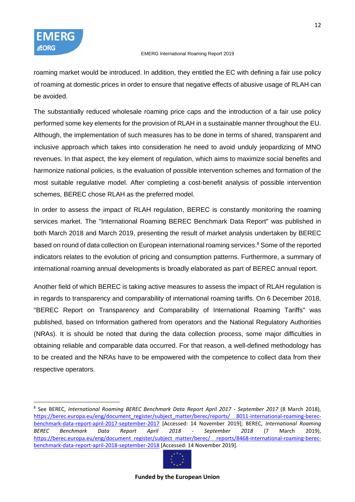

roaming market would be introduced. In addition, they entitled the EC with defining a fair use policy of roaming at domestic prices in order to ensure that negative effects of abusive usage of RLAH can be avoided.

The substantially reduced wholesale roaming price caps and the introduction of a fair use policy performed some key elements for the provision of RLAH in a sustainable manner throughout the EU. Although, the implementation of such measures has to be done in terms of shared, transparent and inclusive approach which takes into consideration he need to avoid unduly jeopardizing of MNO revenues. In that aspect, the key element of regulation, which aims to maximize social benefits and harmonize national policies, is the evaluation of possible intervention schemes and formation of the most suitable regulative model. After completing a cost-benefit analysis of possible intervention schemes, BEREC chose RLAH as the preferred model.

In order to assess the impact of RLAH regulation, BEREC is constantly monitoring the roaming services market. The "International Roaming BEREC Benchmark Data Report" was published in both March 2018 and March 2019, presenting the result of market analysis undertaken by BEREC based on round of data collection on European international roaming services.<sup>8</sup> Some of the reported indicators relates to the evolution of pricing and consumption patterns. Furthermore, a summary of international roaming annual developments is broadly elaborated as part of BEREC annual report.

Another field of which BEREC is taking active measures to assess the impact of RLAH regulation is in regards to transparency and comparability of international roaming tariffs. On 6 December 2018, "BEREC Report on Transparency and Comparability of International Roaming Tariffs" was published, based on Information gathered from operators and the National Regulatory Authorities (NRAs). It is should be noted that during the data collection process, some major difficulties in obtaining reliable and comparable data occurred. For that reason, a well-defined methodology has to be created and the NRAs have to be empowered with the competence to collect data from their respective operators.

<sup>8</sup> See BEREC, *International Roaming BEREC Benchmark Data Report April 2017 - September 2017* (8 March 2018), [https://berec.europa.eu/eng/document\\_register/subject\\_matter/berec/reports/ 8011-international-roaming-berec](https://berec.europa.eu/eng/document_register/subject_matter/berec/reports/%208011-international-roaming-berec-benchmark-data-report-april-2017-september-2017)[benchmark-data-report-april-2017-september-2017](https://berec.europa.eu/eng/document_register/subject_matter/berec/reports/%208011-international-roaming-berec-benchmark-data-report-april-2017-september-2017) [Accessed: 14 November 2019]; BEREC, *International Roaming BEREC Benchmark Data Report April 2018 - September 2018* (7 March 2019), [https://berec.europa.eu/eng/document\\_register/subject\\_matter/berec/ reports/8468-international-roaming-berec](https://berec.europa.eu/eng/document_register/subject_matter/berec/%20reports/8468-international-roaming-berec-benchmark-data-report-april-2018-september-2018)[benchmark-data-report-april-2018-september-2018](https://berec.europa.eu/eng/document_register/subject_matter/berec/%20reports/8468-international-roaming-berec-benchmark-data-report-april-2018-september-2018) [Accessed: 14 November 2019].

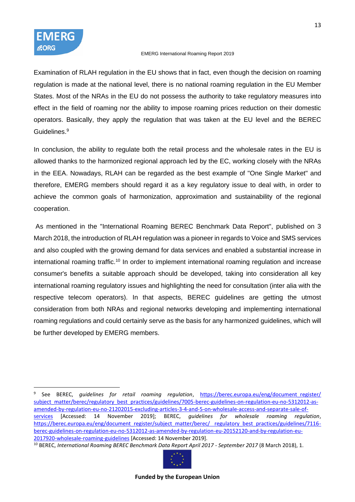

Examination of RLAH regulation in the EU shows that in fact, even though the decision on roaming regulation is made at the national level, there is no national roaming regulation in the EU Member States. Most of the NRAs in the EU do not possess the authority to take regulatory measures into effect in the field of roaming nor the ability to impose roaming prices reduction on their domestic operators. Basically, they apply the regulation that was taken at the EU level and the BEREC Guidelines. 9

In conclusion, the ability to regulate both the retail process and the wholesale rates in the EU is allowed thanks to the harmonized regional approach led by the EC, working closely with the NRAs in the EEA. Nowadays, RLAH can be regarded as the best example of "One Single Market" and therefore, EMERG members should regard it as a key regulatory issue to deal with, in order to achieve the common goals of harmonization, approximation and sustainability of the regional cooperation.

As mentioned in the "International Roaming BEREC Benchmark Data Report", published on 3 March 2018, the introduction of RLAH regulation was a pioneer in regards to Voice and SMS services and also coupled with the growing demand for data services and enabled a substantial increase in international roaming traffic.<sup>10</sup> In order to implement international roaming regulation and increase consumer's benefits a suitable approach should be developed, taking into consideration all key international roaming regulatory issues and highlighting the need for consultation (inter alia with the respective telecom operators). In that aspects, BEREC guidelines are getting the utmost consideration from both NRAs and regional networks developing and implementing international roaming regulations and could certainly serve as the basis for any harmonized guidelines, which will be further developed by EMERG members.

<sup>10</sup> BEREC, *International Roaming BEREC Benchmark Data Report April 2017 - September 2017* (8 March 2018), 1.



<sup>9</sup> See BEREC, *guidelines for retail roaming regulation*, https://berec.europa.eu/eng/document register/ [subject\\_matter/berec/regulatory\\_best\\_practices/guidelines/7005-berec-guidelines-on-regulation-eu-no-5312012-as](https://berec.europa.eu/eng/document_register/%20subject_matter/berec/regulatory_best_practices/guidelines/7005-berec-guidelines-on-regulation-eu-no-5312012-as-amended-by-regulation-eu-no-21202015-excluding-articles-3-4-and-5-on-wholesale-access-and-separate-sale-of-services)[amended-by-regulation-eu-no-21202015-excluding-articles-3-4-and-5-on-wholesale-access-and-separate-sale-of](https://berec.europa.eu/eng/document_register/%20subject_matter/berec/regulatory_best_practices/guidelines/7005-berec-guidelines-on-regulation-eu-no-5312012-as-amended-by-regulation-eu-no-21202015-excluding-articles-3-4-and-5-on-wholesale-access-and-separate-sale-of-services)[services](https://berec.europa.eu/eng/document_register/%20subject_matter/berec/regulatory_best_practices/guidelines/7005-berec-guidelines-on-regulation-eu-no-5312012-as-amended-by-regulation-eu-no-21202015-excluding-articles-3-4-and-5-on-wholesale-access-and-separate-sale-of-services) [Accessed: 14 November 2019]; BEREC, *guidelines for wholesale roaming regulation*, https://berec.europa.eu/eng/document\_register/subject\_matter/berec/\_regulatory\_best\_practices/guidelines/7116[berec-guidelines-on-regulation-eu-no-5312012-as-amended-by-regulation-eu-20152120-and-by-regulation-eu-](https://berec.europa.eu/eng/document_register/subject_matter/berec/%20regulatory_best_practices/guidelines/7116-berec-guidelines-on-regulation-eu-no-5312012-as-amended-by-regulation-eu-%2020152120-and-by-regulation-eu-2017920-wholesale-roaming-guidelines)[2017920-wholesale-roaming-guidelines](https://berec.europa.eu/eng/document_register/subject_matter/berec/%20regulatory_best_practices/guidelines/7116-berec-guidelines-on-regulation-eu-no-5312012-as-amended-by-regulation-eu-%2020152120-and-by-regulation-eu-2017920-wholesale-roaming-guidelines) [Accessed: 14 November 2019].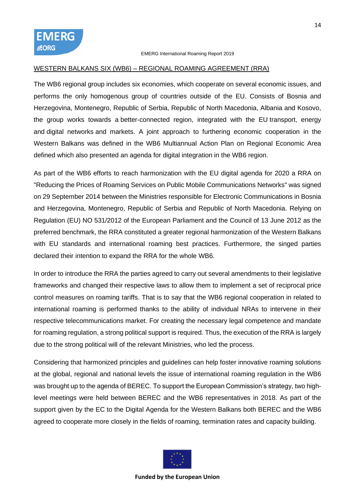#### <span id="page-13-0"></span>WESTERN BALKANS SIX (WB6) – REGIONAL ROAMING AGREEMENT (RRA)

The WB6 regional group includes six economies, which cooperate on several economic issues, and performs the only homogenous group of countries outside of the EU. Consists of Bosnia and Herzegovina, Montenegro, Republic of Serbia, Republic of North Macedonia, Albania and Kosovo, the group works towards a better-connected region, integrated with the EU transport, energy and digital networks and markets. A joint approach to furthering economic cooperation in the Western Balkans was defined in the WB6 Multiannual Action Plan on Regional Economic Area defined which also presented an agenda for digital integration in the WB6 region.

As part of the WB6 efforts to reach harmonization with the EU digital agenda for 2020 a RRA on "Reducing the Prices of Roaming Services on Public Mobile Communications Networks" was signed on 29 September 2014 between the Ministries responsible for Electronic Communications in Bosnia and Herzegovina, Montenegro, Republic of Serbia and Republic of North Macedonia. Relying on Regulation (EU) NO 531/2012 of the European Parliament and the Council of 13 June 2012 as the preferred benchmark, the RRA constituted a greater regional harmonization of the Western Balkans with EU standards and international roaming best practices. Furthermore, the singed parties declared their intention to expand the RRA for the whole WB6.

In order to introduce the RRA the parties agreed to carry out several amendments to their legislative frameworks and changed their respective laws to allow them to implement a set of reciprocal price control measures on roaming tariffs. That is to say that the WB6 regional cooperation in related to international roaming is performed thanks to the ability of individual NRAs to intervene in their respective telecommunications market. For creating the necessary legal competence and mandate for roaming regulation, a strong political support is required. Thus, the execution of the RRA is largely due to the strong political will of the relevant Ministries, who led the process.

Considering that harmonized principles and guidelines can help foster innovative roaming solutions at the global, regional and national levels the issue of international roaming regulation in the WB6 was brought up to the agenda of BEREC. To support the European Commission's strategy, two highlevel meetings were held between BEREC and the WB6 representatives in 2018. As part of the support given by the EC to the Digital Agenda for the Western Balkans both BEREC and the WB6 agreed to cooperate more closely in the fields of roaming, termination rates and capacity building.

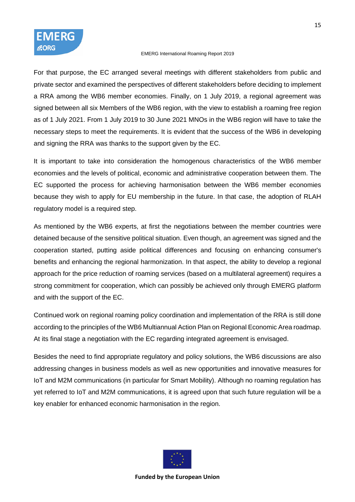

For that purpose, the EC arranged several meetings with different stakeholders from public and private sector and examined the perspectives of different stakeholders before deciding to implement a RRA among the WB6 member economies. Finally, on 1 July 2019, a regional agreement was signed between all six Members of the WB6 region, with the view to establish a roaming free region as of 1 July 2021. From 1 July 2019 to 30 June 2021 MNOs in the WB6 region will have to take the necessary steps to meet the requirements. It is evident that the success of the WB6 in developing and signing the RRA was thanks to the support given by the EC.

It is important to take into consideration the homogenous characteristics of the WB6 member economies and the levels of political, economic and administrative cooperation between them. The EC supported the process for achieving harmonisation between the WB6 member economies because they wish to apply for EU membership in the future. In that case, the adoption of RLAH regulatory model is a required step.

As mentioned by the WB6 experts, at first the negotiations between the member countries were detained because of the sensitive political situation. Even though, an agreement was signed and the cooperation started, putting aside political differences and focusing on enhancing consumer's benefits and enhancing the regional harmonization. In that aspect, the ability to develop a regional approach for the price reduction of roaming services (based on a multilateral agreement) requires a strong commitment for cooperation, which can possibly be achieved only through EMERG platform and with the support of the EC.

Continued work on regional roaming policy coordination and implementation of the RRA is still done according to the principles of the WB6 Multiannual Action Plan on Regional Economic Area roadmap. At its final stage a negotiation with the EC regarding integrated agreement is envisaged.

Besides the need to find appropriate regulatory and policy solutions, the WB6 discussions are also addressing changes in business models as well as new opportunities and innovative measures for IoT and M2M communications (in particular for Smart Mobility). Although no roaming regulation has yet referred to IoT and M2M communications, it is agreed upon that such future regulation will be a key enabler for enhanced economic harmonisation in the region.

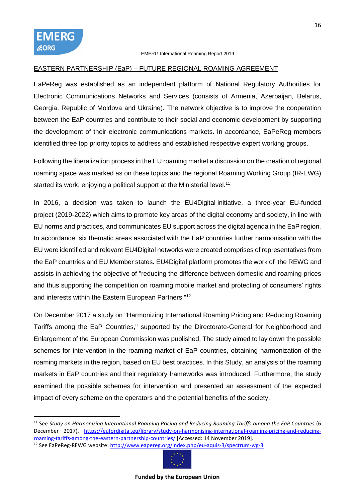### EASTERN PARTNERSHIP (EaP) – FUTURE REGIONAL ROAMING AGREEMENT

EaPeReg was established as an independent platform of National Regulatory Authorities for Electronic Communications Networks and Services (consists of Armenia, Azerbaijan, Belarus, Georgia, Republic of Moldova and Ukraine). The network objective is to improve the cooperation between the EaP countries and contribute to their social and economic development by supporting the development of their electronic communications markets. In accordance, EaPeReg members identified three top priority topics to address and established respective expert working groups.

Following the liberalization process in the EU roaming market a discussion on the creation of regional roaming space was marked as on these topics and the regional Roaming Working Group (IR-EWG) started its work, enjoying a political support at the Ministerial level.<sup>11</sup>

In 2016, a decision was taken to launch the EU4Digital initiative, a three-year EU-funded project (2019-2022) which aims to promote key areas of the digital economy and society, in line with EU norms and practices, and communicates EU support across the digital agenda in the EaP region. In accordance, six thematic areas associated with the EaP countries further harmonisation with the EU were identified and relevant EU4Digital networks were created comprises of representatives from the EaP countries and EU Member states. EU4Digital platform promotes the work of the REWG and assists in achieving the objective of "reducing the difference between domestic and roaming prices and thus supporting the competition on roaming mobile market and protecting of consumers' rights and interests within the Eastern European Partners."<sup>12</sup>

On December 2017 a study on "Harmonizing International Roaming Pricing and Reducing Roaming Tariffs among the EaP Countries," supported by the Directorate-General for Neighborhood and Enlargement of the European Commission was published. The study aimed to lay down the possible schemes for intervention in the roaming market of EaP countries, obtaining harmonization of the roaming markets in the region, based on EU best practices. In this Study, an analysis of the roaming markets in EaP countries and their regulatory frameworks was introduced. Furthermore, the study examined the possible schemes for intervention and presented an assessment of the expected impact of every scheme on the operators and the potential benefits of the society.

<sup>&</sup>lt;sup>12</sup> See EaPeReg-REWG website:<http://www.eapereg.org/index.php/eu-aquis-3/spectrum-wg-3>



<sup>11</sup> See *Study on Harmonizing International Roaming Pricing and Reducing Roaming Tariffs among the EaP Countries* (6 December 2017), [https://eufordigital.eu/library/study-on-harmonising-international-roaming-pricing-and-reducing](https://eufordigital.eu/library/study-on-harmonising-international-roaming-pricing-and-reducing-roaming-tariffs-among-the-eastern-partnership-countries/)[roaming-tariffs-among-the-eastern-partnership-countries/](https://eufordigital.eu/library/study-on-harmonising-international-roaming-pricing-and-reducing-roaming-tariffs-among-the-eastern-partnership-countries/) [Accessed: 14 November 2019].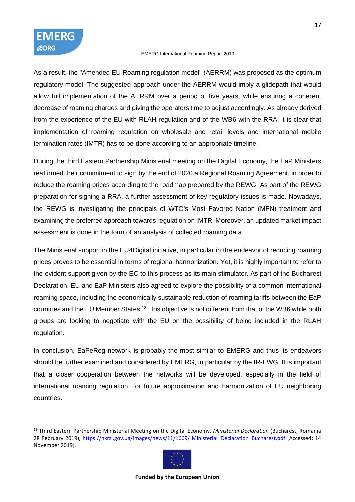As a result, the "Amended EU Roaming regulation model" (AERRM) was proposed as the optimum regulatory model. The suggested approach under the AERRM would imply a glidepath that would allow full implementation of the AERRM over a period of five years, while ensuring a coherent decrease of roaming charges and giving the operators time to adjust accordingly. As already derived from the experience of the EU with RLAH regulation and of the WB6 with the RRA, it is clear that implementation of roaming regulation on wholesale and retail levels and international mobile termination rates (IMTR) has to be done according to an appropriate timeline.

During the third Eastern Partnership Ministerial meeting on the Digital Economy, the EaP Ministers reaffirmed their commitment to sign by the end of 2020 a Regional Roaming Agreement, in order to reduce the roaming prices according to the roadmap prepared by the REWG. As part of the REWG preparation for signing a RRA, a further assessment of key regulatory issues is made. Nowadays, the REWG is investigating the principals of WTO's Most Favored Nation (MFN) treatment and examining the preferred approach towards regulation on IMTR. Moreover, an updated market impact assessment is done in the form of an analysis of collected roaming data.

The Ministerial support in the EU4Digital initiative, in particular in the endeavor of reducing roaming prices proves to be essential in terms of regional harmonization. Yet, it is highly important to refer to the evident support given by the EC to this process as its main stimulator. As part of the Bucharest Declaration, EU and EaP Ministers also agreed to explore the possibility of a common international roaming space, including the economically sustainable reduction of roaming tariffs between the EaP countries and the EU Member States.<sup>13</sup> This objective is not different from that of the WB6 while both groups are looking to negotiate with the EU on the possibility of being included in the RLAH regulation.

In conclusion, EaPeReg network is probably the most similar to EMERG and thus its endeavors should be further examined and considered by EMERG, in particular by the IR-EWG. It is important that a closer cooperation between the networks will be developed, especially in the field of international roaming regulation, for future approximation and harmonization of EU neighboring countries.

<sup>13</sup> Third Eastern Partnership Ministerial Meeting on the Digital Economy, *Ministerial Declaration* (Bucharest, Romania 28 February 2019), https://nkrzi.gov.ua/images/news/11/1669/ Ministerial Declaration Bucharest.pdf [Accessed: 14 November 2019].

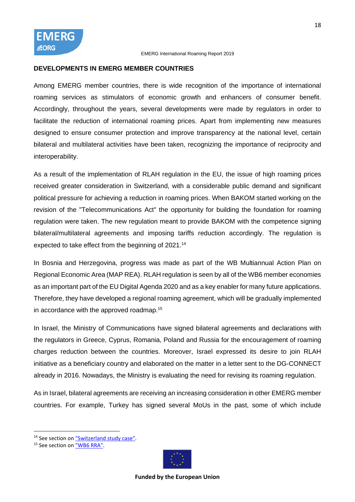# **DEVELOPMENTS IN EMERG MEMBER COUNTRIES**

Among EMERG member countries, there is wide recognition of the importance of international roaming services as stimulators of economic growth and enhancers of consumer benefit. Accordingly, throughout the years, several developments were made by regulators in order to facilitate the reduction of international roaming prices. Apart from implementing new measures designed to ensure consumer protection and improve transparency at the national level, certain bilateral and multilateral activities have been taken, recognizing the importance of reciprocity and interoperability.

As a result of the implementation of RLAH regulation in the EU, the issue of high roaming prices received greater consideration in Switzerland, with a considerable public demand and significant political pressure for achieving a reduction in roaming prices. When BAKOM started working on the revision of the "Telecommunications Act" the opportunity for building the foundation for roaming regulation were taken. The new regulation meant to provide BAKOM with the competence signing bilateral/multilateral agreements and imposing tariffs reduction accordingly. The regulation is expected to take effect from the beginning of 2021.<sup>14</sup>

In Bosnia and Herzegovina, progress was made as part of the WB Multiannual Action Plan on Regional Economic Area (MAP REA). RLAH regulation is seen by all of the WB6 member economies as an important part of the EU Digital Agenda 2020 and as a key enabler for many future applications. Therefore, they have developed a regional roaming agreement, which will be gradually implemented in accordance with the approved roadmap. 15

In Israel, the Ministry of Communications have signed bilateral agreements and declarations with the regulators in Greece, Cyprus, Romania, Poland and Russia for the encouragement of roaming charges reduction between the countries. Moreover, Israel expressed its desire to join RLAH initiative as a beneficiary country and elaborated on the matter in a letter sent to the DG-CONNECT already in 2016. Nowadays, the Ministry is evaluating the need for revising its roaming regulation.

As in Israel, bilateral agreements are receiving an increasing consideration in other EMERG member countries. For example, Turkey has signed several MoUs in the past, some of which include



<sup>&</sup>lt;sup>14</sup> See section o[n "Switzerland study case".](#page-27-0)

<sup>&</sup>lt;sup>15</sup> See section o[n "WB6 RRA".](#page-13-0)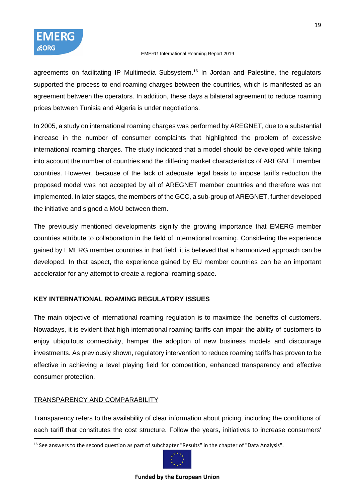

agreements on facilitating IP Multimedia Subsystem.<sup>16</sup> In Jordan and Palestine, the regulators supported the process to end roaming charges between the countries, which is manifested as an agreement between the operators. In addition, these days a bilateral agreement to reduce roaming prices between Tunisia and Algeria is under negotiations.

In 2005, a study on international roaming charges was performed by AREGNET, due to a substantial increase in the number of consumer complaints that highlighted the problem of excessive international roaming charges. The study indicated that a model should be developed while taking into account the number of countries and the differing market characteristics of AREGNET member countries. However, because of the lack of adequate legal basis to impose tariffs reduction the proposed model was not accepted by all of AREGNET member countries and therefore was not implemented. In later stages, the members of the GCC, a sub-group of AREGNET, further developed the initiative and signed a MoU between them.

The previously mentioned developments signify the growing importance that EMERG member countries attribute to collaboration in the field of international roaming. Considering the experience gained by EMERG member countries in that field, it is believed that a harmonized approach can be developed. In that aspect, the experience gained by EU member countries can be an important accelerator for any attempt to create a regional roaming space.

# **KEY INTERNATIONAL ROAMING REGULATORY ISSUES**

The main objective of international roaming regulation is to maximize the benefits of customers. Nowadays, it is evident that high international roaming tariffs can impair the ability of customers to enjoy ubiquitous connectivity, hamper the adoption of new business models and discourage investments. As previously shown, regulatory intervention to reduce roaming tariffs has proven to be effective in achieving a level playing field for competition, enhanced transparency and effective consumer protection.

# TRANSPARENCY AND COMPARABILITY

Transparency refers to the availability of clear information about pricing, including the conditions of each tariff that constitutes the cost structure. Follow the years, initiatives to increase consumers'

<sup>&</sup>lt;sup>16</sup> See answers to the second question as part of subchapter "Results" in the chapter of "Data Analysis".

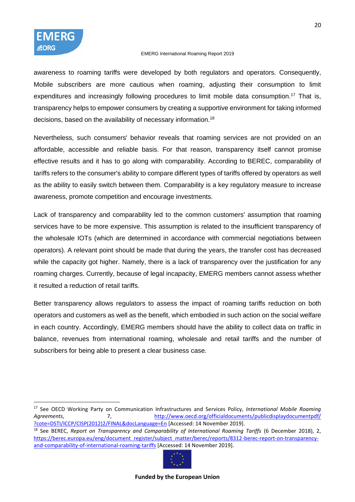awareness to roaming tariffs were developed by both regulators and operators. Consequently, Mobile subscribers are more cautious when roaming, adjusting their consumption to limit expenditures and increasingly following procedures to limit mobile data consumption.<sup>17</sup> That is, transparency helps to empower consumers by creating a supportive environment for taking informed decisions, based on the availability of necessary information.<sup>18</sup>

Nevertheless, such consumers' behavior reveals that roaming services are not provided on an affordable, accessible and reliable basis. For that reason, transparency itself cannot promise effective results and it has to go along with comparability. According to BEREC, comparability of tariffs refers to the consumer's ability to compare different types of tariffs offered by operators as well as the ability to easily switch between them. Comparability is a key regulatory measure to increase awareness, promote competition and encourage investments.

Lack of transparency and comparability led to the common customers' assumption that roaming services have to be more expensive. This assumption is related to the insufficient transparency of the wholesale IOTs (which are determined in accordance with commercial negotiations between operators). A relevant point should be made that during the years, the transfer cost has decreased while the capacity got higher. Namely, there is a lack of transparency over the justification for any roaming charges. Currently, because of legal incapacity, EMERG members cannot assess whether it resulted a reduction of retail tariffs.

Better transparency allows regulators to assess the impact of roaming tariffs reduction on both operators and customers as well as the benefit, which embodied in such action on the social welfare in each country. Accordingly, EMERG members should have the ability to collect data on traffic in balance, revenues from international roaming, wholesale and retail tariffs and the number of subscribers for being able to present a clear business case.

<sup>18</sup> See BEREC, *Report on Transparency and Comparability of International Roaming Tariffs* (6 December 2018), 2, [https://berec.europa.eu/eng/document\\_register/subject\\_matter/berec/reports/8312-berec-report-on-transparency](https://berec.europa.eu/eng/document_register/subject_matter/berec/reports/8312-berec-report-on-transparency-and-comparability-of-international-roaming-tariffs)[and-comparability-of-international-roaming-tariffs](https://berec.europa.eu/eng/document_register/subject_matter/berec/reports/8312-berec-report-on-transparency-and-comparability-of-international-roaming-tariffs) [Accessed: 14 November 2019].



<sup>17</sup> See OECD Working Party on Communication Infrastructures and Services Policy, *International Mobile Roaming*  Agreements, and the metal of the metal of the metal of the metal of the metal of the metal of the metal of the m [?cote=DSTI/ICCP/CISP\(2012\)2/FINAL&docLanguage=En](http://www.oecd.org/officialdocuments/publicdisplaydocumentpdf/%20?cote=DSTI/ICCP/CISP(2012)2/FINAL&docLanguage=En) [Accessed: 14 November 2019].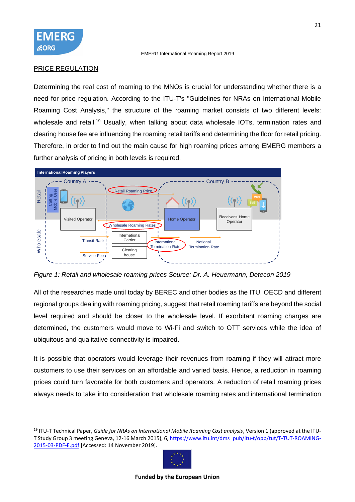

### PRICE REGULATION

Determining the real cost of roaming to the MNOs is crucial for understanding whether there is a need for price regulation. According to the ITU-T's "Guidelines for NRAs on International Mobile Roaming Cost Analysis," the structure of the roaming market consists of two different levels: wholesale and retail.<sup>19</sup> Usually, when talking about data wholesale IOTs, termination rates and clearing house fee are influencing the roaming retail tariffs and determining the floor for retail pricing. Therefore, in order to find out the main cause for high roaming prices among EMERG members a further analysis of pricing in both levels is required.



*Figure 1: Retail and wholesale roaming prices Source: Dr. A. Heuermann, Detecon 2019*

All of the researches made until today by BEREC and other bodies as the ITU, OECD and different regional groups dealing with roaming pricing, suggest that retail roaming tariffs are beyond the social level required and should be closer to the wholesale level. If exorbitant roaming charges are determined, the customers would move to Wi-Fi and switch to OTT services while the idea of ubiquitous and qualitative connectivity is impaired.

It is possible that operators would leverage their revenues from roaming if they will attract more customers to use their services on an affordable and varied basis. Hence, a reduction in roaming prices could turn favorable for both customers and operators. A reduction of retail roaming prices always needs to take into consideration that wholesale roaming rates and international termination

<sup>19</sup> ITU-T Technical Paper, *Guide for NRAs on International Mobile Roaming Cost analysis*, Version 1 (approved at the ITU-T Study Group 3 meeting Geneva, 12-16 March 2015), 6[, https://www.itu.int/dms\\_pub/itu-t/opb/tut/T-TUT-ROAMING-](https://www.itu.int/dms_pub/itu-t/opb/tut/T-TUT-ROAMING-2015-03-PDF-E.pdf)[2015-03-PDF-E.pdf](https://www.itu.int/dms_pub/itu-t/opb/tut/T-TUT-ROAMING-2015-03-PDF-E.pdf) [Accessed: 14 November 2019].

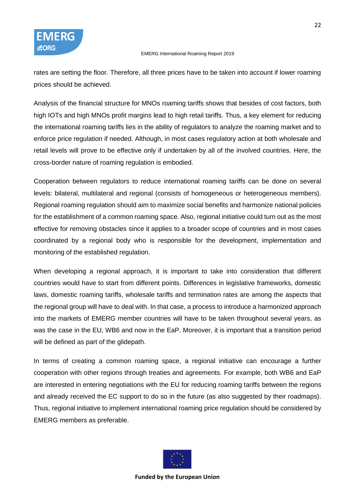rates are setting the floor. Therefore, all three prices have to be taken into account if lower roaming prices should be achieved.

Analysis of the financial structure for MNOs roaming tariffs shows that besides of cost factors, both high IOTs and high MNOs profit margins lead to high retail tariffs. Thus, a key element for reducing the international roaming tariffs lies in the ability of regulators to analyze the roaming market and to enforce price regulation if needed. Although, in most cases regulatory action at both wholesale and retail levels will prove to be effective only if undertaken by all of the involved countries. Here, the cross-border nature of roaming regulation is embodied.

Cooperation between regulators to reduce international roaming tariffs can be done on several levels: bilateral, multilateral and regional (consists of homogeneous or heterogeneous members). Regional roaming regulation should aim to maximize social benefits and harmonize national policies for the establishment of a common roaming space. Also, regional initiative could turn out as the most effective for removing obstacles since it applies to a broader scope of countries and in most cases coordinated by a regional body who is responsible for the development, implementation and monitoring of the established regulation.

When developing a regional approach, it is important to take into consideration that different countries would have to start from different points. Differences in legislative frameworks, domestic laws, domestic roaming tariffs, wholesale tariffs and termination rates are among the aspects that the regional group will have to deal with. In that case, a process to introduce a harmonized approach into the markets of EMERG member countries will have to be taken throughout several years, as was the case in the EU, WB6 and now in the EaP. Moreover, it is important that a transition period will be defined as part of the glidepath.

In terms of creating a common roaming space, a regional initiative can encourage a further cooperation with other regions through treaties and agreements. For example, both WB6 and EaP are interested in entering negotiations with the EU for reducing roaming tariffs between the regions and already received the EC support to do so in the future (as also suggested by their roadmaps). Thus, regional initiative to implement international roaming price regulation should be considered by EMERG members as preferable.

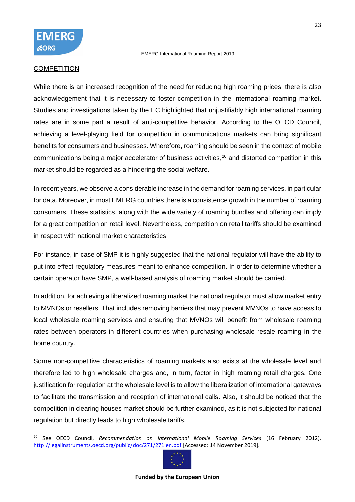

#### **COMPETITION**

While there is an increased recognition of the need for reducing high roaming prices, there is also acknowledgement that it is necessary to foster competition in the international roaming market. Studies and investigations taken by the EC highlighted that unjustifiably high international roaming rates are in some part a result of anti-competitive behavior. According to the OECD Council, achieving a level-playing field for competition in communications markets can bring significant benefits for consumers and businesses. Wherefore, roaming should be seen in the context of mobile communications being a major accelerator of business activities, <sup>20</sup> and distorted competition in this market should be regarded as a hindering the social welfare.

In recent years, we observe a considerable increase in the demand for roaming services, in particular for data. Moreover, in most EMERG countries there is a consistence growth in the number of roaming consumers. These statistics, along with the wide variety of roaming bundles and offering can imply for a great competition on retail level. Nevertheless, competition on retail tariffs should be examined in respect with national market characteristics.

For instance, in case of SMP it is highly suggested that the national regulator will have the ability to put into effect regulatory measures meant to enhance competition. In order to determine whether a certain operator have SMP, a well-based analysis of roaming market should be carried.

In addition, for achieving a liberalized roaming market the national regulator must allow market entry to MVNOs or resellers. That includes removing barriers that may prevent MVNOs to have access to local wholesale roaming services and ensuring that MVNOs will benefit from wholesale roaming rates between operators in different countries when purchasing wholesale resale roaming in the home country.

Some non-competitive characteristics of roaming markets also exists at the wholesale level and therefore led to high wholesale charges and, in turn, factor in high roaming retail charges. One justification for regulation at the wholesale level is to allow the liberalization of international gateways to facilitate the transmission and reception of international calls. Also, it should be noticed that the competition in clearing houses market should be further examined, as it is not subjected for national regulation but directly leads to high wholesale tariffs.

<sup>20</sup> See OECD Council, *Recommendation on International Mobile Roaming Services* (16 February 2012), <http://legalinstruments.oecd.org/public/doc/271/271.en.pdf> [Accessed: 14 November 2019].

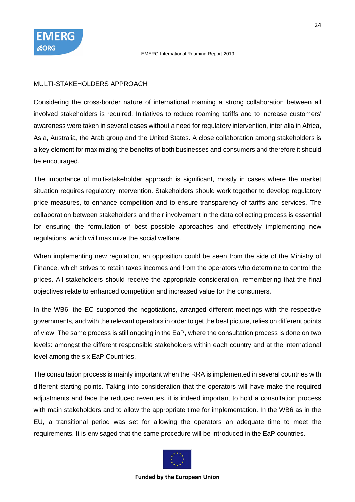

#### MULTI-STAKEHOLDERS APPROACH

Considering the cross-border nature of international roaming a strong collaboration between all involved stakeholders is required. Initiatives to reduce roaming tariffs and to increase customers' awareness were taken in several cases without a need for regulatory intervention, inter alia in Africa, Asia, Australia, the Arab group and the United States. A close collaboration among stakeholders is a key element for maximizing the benefits of both businesses and consumers and therefore it should be encouraged.

The importance of multi-stakeholder approach is significant, mostly in cases where the market situation requires regulatory intervention. Stakeholders should work together to develop regulatory price measures, to enhance competition and to ensure transparency of tariffs and services. The collaboration between stakeholders and their involvement in the data collecting process is essential for ensuring the formulation of best possible approaches and effectively implementing new regulations, which will maximize the social welfare.

When implementing new regulation, an opposition could be seen from the side of the Ministry of Finance, which strives to retain taxes incomes and from the operators who determine to control the prices. All stakeholders should receive the appropriate consideration, remembering that the final objectives relate to enhanced competition and increased value for the consumers.

In the WB6, the EC supported the negotiations, arranged different meetings with the respective governments, and with the relevant operators in order to get the best picture, relies on different points of view. The same process is still ongoing in the EaP, where the consultation process is done on two levels: amongst the different responsible stakeholders within each country and at the international level among the six EaP Countries.

The consultation process is mainly important when the RRA is implemented in several countries with different starting points. Taking into consideration that the operators will have make the required adjustments and face the reduced revenues, it is indeed important to hold a consultation process with main stakeholders and to allow the appropriate time for implementation. In the WB6 as in the EU, a transitional period was set for allowing the operators an adequate time to meet the requirements. It is envisaged that the same procedure will be introduced in the EaP countries.

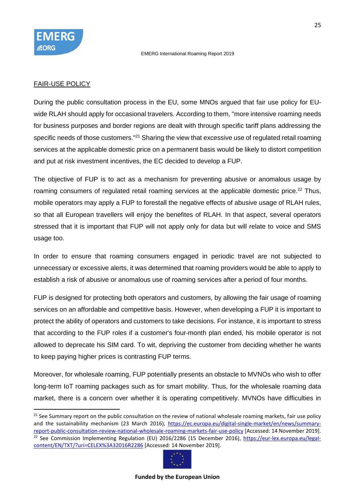

### FAIR-USE POLICY

During the public consultation process in the EU, some MNOs argued that fair use policy for EUwide RLAH should apply for occasional travelers. According to them, "more intensive roaming needs for business purposes and border regions are dealt with through specific tariff plans addressing the specific needs of those customers."<sup>21</sup> Sharing the view that excessive use of regulated retail roaming services at the applicable domestic price on a permanent basis would be likely to distort competition and put at risk investment incentives, the EC decided to develop a FUP.

The objective of FUP is to act as a mechanism for preventing abusive or anomalous usage by roaming consumers of regulated retail roaming services at the applicable domestic price.<sup>22</sup> Thus, mobile operators may apply a FUP to forestall the negative effects of abusive usage of RLAH rules, so that all European travellers will enjoy the benefites of RLAH. In that aspect, several operators stressed that it is important that FUP will not apply only for data but will relate to voice and SMS usage too.

In order to ensure that roaming consumers engaged in periodic travel are not subjected to unnecessary or excessive alerts, it was determined that roaming providers would be able to apply to establish a risk of abusive or anomalous use of roaming services after a period of four months.

FUP is designed for protecting both operators and customers, by allowing the fair usage of roaming services on an affordable and competitive basis. However, when developing a FUP it is important to protect the ability of operators and customers to take decisions. For instance, it is important to stress that according to the FUP roles if a customer's four-month plan ended, his mobile operator is not allowed to deprecate his SIM card. To wit, depriving the customer from deciding whether he wants to keep paying higher prices is contrasting FUP terms.

Moreover, for wholesale roaming, FUP potentially presents an obstacle to MVNOs who wish to offer long-term IoT roaming packages such as for smart mobility. Thus, for the wholesale roaming data market, there is a concern over whether it is operating competitively. MVNOs have difficulties in

<sup>&</sup>lt;sup>21</sup> See Summary report on the public consultation on the review of national wholesale roaming markets, fair use policy and the sustainability mechanism (23 March 2016), [https://ec.europa.eu/digital-single-market/en/news/summary](https://ec.europa.eu/digital-single-market/en/news/summary-report-public-consultation-review-national-wholesale-roaming-markets-fair-use-policy)[report-public-consultation-review-national-wholesale-roaming-markets-fair-use-policy](https://ec.europa.eu/digital-single-market/en/news/summary-report-public-consultation-review-national-wholesale-roaming-markets-fair-use-policy) [Accessed: 14 November 2019]. <sup>22</sup> See Commission Implementing Regulation (EU) 2016/2286 (15 December 2016), [https://eur-lex.europa.eu/legal](https://eur-lex.europa.eu/legal-content/EN/TXT/?uri=CELEX%3A32016R2286)[content/EN/TXT/?uri=CELEX%3A32016R2286](https://eur-lex.europa.eu/legal-content/EN/TXT/?uri=CELEX%3A32016R2286) [Accessed: 14 November 2019].

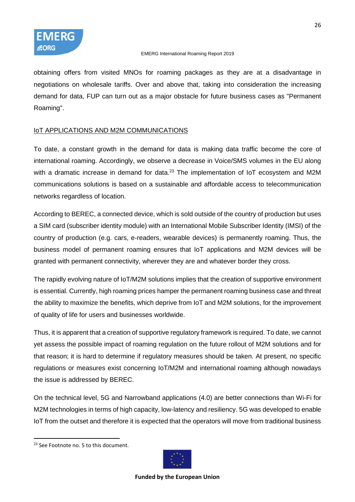

obtaining offers from visited MNOs for roaming packages as they are at a disadvantage in negotiations on wholesale tariffs. Over and above that, taking into consideration the increasing demand for data, FUP can turn out as a major obstacle for future business cases as "Permanent Roaming".

# IoT APPLICATIONS AND M2M COMMUNICATIONS

To date, a constant growth in the demand for data is making data traffic become the core of international roaming. Accordingly, we observe a decrease in Voice/SMS volumes in the EU along with a dramatic increase in demand for data. $23$  The implementation of IoT ecosystem and M2M communications solutions is based on a sustainable and affordable access to telecommunication networks regardless of location.

According to BEREC, a connected device, which is sold outside of the country of production but uses a SIM card (subscriber identity module) with an International Mobile Subscriber Identity (IMSI) of the country of production (e.g. cars, e-readers, wearable devices) is permanently roaming. Thus, the business model of permanent roaming ensures that IoT applications and M2M devices will be granted with permanent connectivity, wherever they are and whatever border they cross.

The rapidly evolving nature of IoT/M2M solutions implies that the creation of supportive environment is essential. Currently, high roaming prices hamper the permanent roaming business case and threat the ability to maximize the benefits, which deprive from IoT and M2M solutions, for the improvement of quality of life for users and businesses worldwide.

Thus, it is apparent that a creation of supportive regulatory framework is required. To date, we cannot yet assess the possible impact of roaming regulation on the future rollout of M2M solutions and for that reason; it is hard to determine if regulatory measures should be taken. At present, no specific regulations or measures exist concerning IoT/M2M and international roaming although nowadays the issue is addressed by BEREC.

On the technical level, 5G and Narrowband applications (4.0) are better connections than Wi-Fi for M2M technologies in terms of high capacity, low-latency and resiliency. 5G was developed to enable IoT from the outset and therefore it is expected that the operators will move from traditional business



<sup>&</sup>lt;sup>23</sup> See Footnote no. 5 to this document.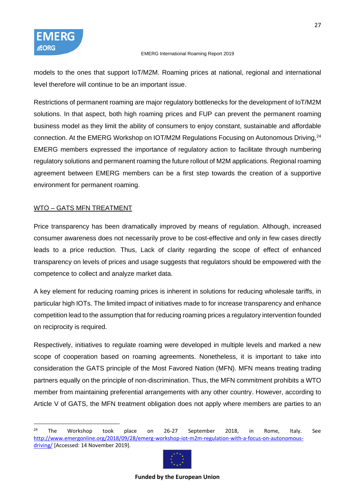models to the ones that support IoT/M2M. Roaming prices at national, regional and international level therefore will continue to be an important issue.

Restrictions of permanent roaming are major regulatory bottlenecks for the development of IoT/M2M solutions. In that aspect, both high roaming prices and FUP can prevent the permanent roaming business model as they limit the ability of consumers to enjoy constant, sustainable and affordable connection. At the EMERG Workshop on IOT/M2M Regulations Focusing on Autonomous Driving, <sup>24</sup> EMERG members expressed the importance of regulatory action to facilitate through numbering regulatory solutions and permanent roaming the future rollout of M2M applications. Regional roaming agreement between EMERG members can be a first step towards the creation of a supportive environment for permanent roaming.

# WTO – GATS MFN TREATMENT

Price transparency has been dramatically improved by means of regulation. Although, increased consumer awareness does not necessarily prove to be cost-effective and only in few cases directly leads to a price reduction. Thus, Lack of clarity regarding the scope of effect of enhanced transparency on levels of prices and usage suggests that regulators should be empowered with the competence to collect and analyze market data.

A key element for reducing roaming prices is inherent in solutions for reducing wholesale tariffs, in particular high IOTs. The limited impact of initiatives made to for increase transparency and enhance competition lead to the assumption that for reducing roaming prices a regulatory intervention founded on reciprocity is required.

Respectively, initiatives to regulate roaming were developed in multiple levels and marked a new scope of cooperation based on roaming agreements. Nonetheless, it is important to take into consideration the GATS principle of the Most Favored Nation (MFN). MFN means treating trading partners equally on the principle of non-discrimination. Thus, the MFN commitment prohibits a WTO member from maintaining preferential arrangements with any other country. However, according to Article V of GATS, the MFN treatment obligation does not apply where members are parties to an

 $24$  The Workshop took place on 26-27 September 2018, in Rome, Italy. See [http://www.emergonline.org/2018/09/28/emerg-workshop-iot-m2m-regulation-with-a-focus-on-autonomous](http://www.emergonline.org/2018/09/28/emerg-workshop-iot-m2m-regulation-with-a-focus-on-autonomous-driving/)[driving/](http://www.emergonline.org/2018/09/28/emerg-workshop-iot-m2m-regulation-with-a-focus-on-autonomous-driving/) [Accessed: 14 November 2019].

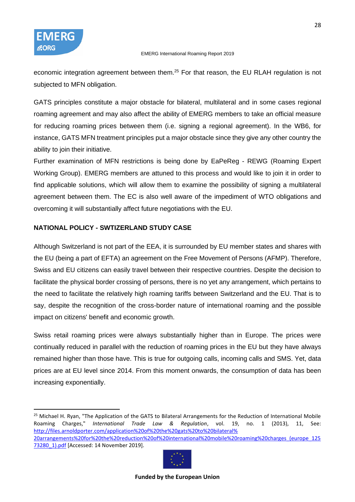economic integration agreement between them.<sup>25</sup> For that reason, the EU RLAH regulation is not subjected to MFN obligation.

GATS principles constitute a major obstacle for bilateral, multilateral and in some cases regional roaming agreement and may also affect the ability of EMERG members to take an official measure for reducing roaming prices between them (i.e. signing a regional agreement). In the WB6, for instance, GATS MFN treatment principles put a major obstacle since they give any other country the ability to join their initiative.

Further examination of MFN restrictions is being done by EaPeReg - REWG (Roaming Expert Working Group). EMERG members are attuned to this process and would like to join it in order to find applicable solutions, which will allow them to examine the possibility of signing a multilateral agreement between them. The EC is also well aware of the impediment of WTO obligations and overcoming it will substantially affect future negotiations with the EU.

# <span id="page-27-0"></span>**NATIONAL POLICY - SWTIZERLAND STUDY CASE**

Although Switzerland is not part of the EEA, it is surrounded by EU member states and shares with the EU (being a part of EFTA) an agreement on the Free Movement of Persons (AFMP). Therefore, Swiss and EU citizens can easily travel between their respective countries. Despite the decision to facilitate the physical border crossing of persons, there is no yet any arrangement, which pertains to the need to facilitate the relatively high roaming tariffs between Switzerland and the EU. That is to say, despite the recognition of the cross-border nature of international roaming and the possible impact on citizens' benefit and economic growth.

Swiss retail roaming prices were always substantially higher than in Europe. The prices were continually reduced in parallel with the reduction of roaming prices in the EU but they have always remained higher than those have. This is true for outgoing calls, incoming calls and SMS. Yet, data prices are at EU level since 2014. From this moment onwards, the consumption of data has been increasing exponentially.

<sup>25</sup> Michael H. Ryan, "The Application of the GATS to Bilateral Arrangements for the Reduction of International Mobile Roaming Charges," *International Trade Law & Regulation*, vol. 19, no. 1 (2013), 11, See: [http://files.arnoldporter.com/application%20of%20the%20gats%20to%20bilateral%](http://files.arnoldporter.com/application%20of%20the%20gats%20to%20bilateral%25%2020arrangements%20for%20the%20reduction%20of%20international%20mobile%20roaming%20charges_(europe_12573280_1).pdf)  [20arrangements%20for%20the%20reduction%20of%20international%20mobile%20roaming%20charges\\_\(europe\\_125](http://files.arnoldporter.com/application%20of%20the%20gats%20to%20bilateral%25%2020arrangements%20for%20the%20reduction%20of%20international%20mobile%20roaming%20charges_(europe_12573280_1).pdf) 73280 1).pdf [Accessed: 14 November 2019].

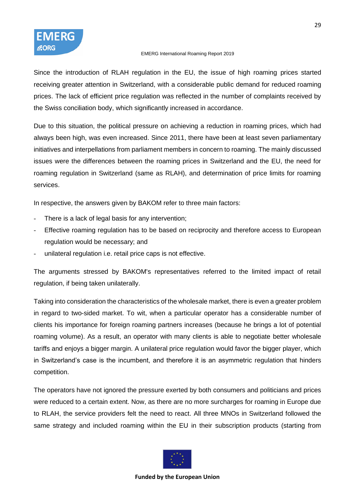Since the introduction of RLAH regulation in the EU, the issue of high roaming prices started receiving greater attention in Switzerland, with a considerable public demand for reduced roaming prices. The lack of efficient price regulation was reflected in the number of complaints received by the Swiss conciliation body, which significantly increased in accordance.

Due to this situation, the political pressure on achieving a reduction in roaming prices, which had always been high, was even increased. Since 2011, there have been at least seven parliamentary initiatives and interpellations from parliament members in concern to roaming. The mainly discussed issues were the differences between the roaming prices in Switzerland and the EU, the need for roaming regulation in Switzerland (same as RLAH), and determination of price limits for roaming services.

In respective, the answers given by BAKOM refer to three main factors:

- There is a lack of legal basis for any intervention;
- Effective roaming regulation has to be based on reciprocity and therefore access to European regulation would be necessary; and
- unilateral regulation i.e. retail price caps is not effective.

The arguments stressed by BAKOM's representatives referred to the limited impact of retail regulation, if being taken unilaterally.

Taking into consideration the characteristics of the wholesale market, there is even a greater problem in regard to two-sided market. To wit, when a particular operator has a considerable number of clients his importance for foreign roaming partners increases (because he brings a lot of potential roaming volume). As a result, an operator with many clients is able to negotiate better wholesale tariffs and enjoys a bigger margin. A unilateral price regulation would favor the bigger player, which in Switzerland's case is the incumbent, and therefore it is an asymmetric regulation that hinders competition.

The operators have not ignored the pressure exerted by both consumers and politicians and prices were reduced to a certain extent. Now, as there are no more surcharges for roaming in Europe due to RLAH, the service providers felt the need to react. All three MNOs in Switzerland followed the same strategy and included roaming within the EU in their subscription products (starting from

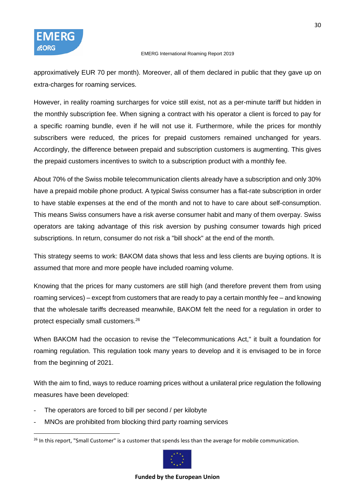approximatively EUR 70 per month). Moreover, all of them declared in public that they gave up on extra-charges for roaming services.

However, in reality roaming surcharges for voice still exist, not as a per-minute tariff but hidden in the monthly subscription fee. When signing a contract with his operator a client is forced to pay for a specific roaming bundle, even if he will not use it. Furthermore, while the prices for monthly subscribers were reduced, the prices for prepaid customers remained unchanged for years. Accordingly, the difference between prepaid and subscription customers is augmenting. This gives the prepaid customers incentives to switch to a subscription product with a monthly fee.

About 70% of the Swiss mobile telecommunication clients already have a subscription and only 30% have a prepaid mobile phone product. A typical Swiss consumer has a flat-rate subscription in order to have stable expenses at the end of the month and not to have to care about self-consumption. This means Swiss consumers have a risk averse consumer habit and many of them overpay. Swiss operators are taking advantage of this risk aversion by pushing consumer towards high priced subscriptions. In return, consumer do not risk a "bill shock" at the end of the month.

This strategy seems to work: BAKOM data shows that less and less clients are buying options. It is assumed that more and more people have included roaming volume.

Knowing that the prices for many customers are still high (and therefore prevent them from using roaming services) – except from customers that are ready to pay a certain monthly fee – and knowing that the wholesale tariffs decreased meanwhile, BAKOM felt the need for a regulation in order to protect especially small customers.<sup>26</sup>

When BAKOM had the occasion to revise the "Telecommunications Act," it built a foundation for roaming regulation. This regulation took many years to develop and it is envisaged to be in force from the beginning of 2021.

With the aim to find, ways to reduce roaming prices without a unilateral price regulation the following measures have been developed:

- The operators are forced to bill per second / per kilobyte
- MNOs are prohibited from blocking third party roaming services

<sup>&</sup>lt;sup>26</sup> In this report, "Small Customer" is a customer that spends less than the average for mobile communication.

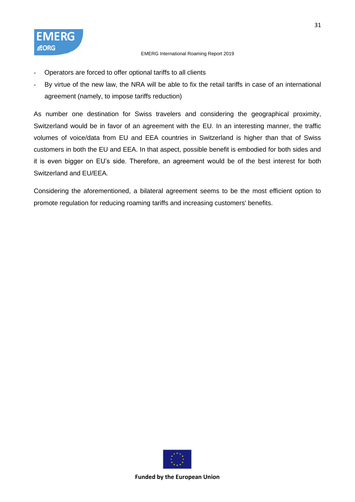

- Operators are forced to offer optional tariffs to all clients
- By virtue of the new law, the NRA will be able to fix the retail tariffs in case of an international agreement (namely, to impose tariffs reduction)

As number one destination for Swiss travelers and considering the geographical proximity, Switzerland would be in favor of an agreement with the EU. In an interesting manner, the traffic volumes of voice/data from EU and EEA countries in Switzerland is higher than that of Swiss customers in both the EU and EEA. In that aspect, possible benefit is embodied for both sides and it is even bigger on EU's side. Therefore, an agreement would be of the best interest for both Switzerland and EU/EEA.

Considering the aforementioned, a bilateral agreement seems to be the most efficient option to promote regulation for reducing roaming tariffs and increasing customers' benefits.

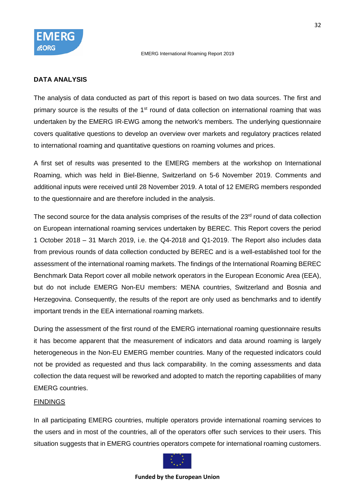

#### **DATA ANALYSIS**

The analysis of data conducted as part of this report is based on two data sources. The first and primary source is the results of the 1<sup>st</sup> round of data collection on international roaming that was undertaken by the EMERG IR-EWG among the network's members. The underlying questionnaire covers qualitative questions to develop an overview over markets and regulatory practices related to international roaming and quantitative questions on roaming volumes and prices.

A first set of results was presented to the EMERG members at the workshop on International Roaming, which was held in Biel-Bienne, Switzerland on 5-6 November 2019. Comments and additional inputs were received until 28 November 2019. A total of 12 EMERG members responded to the questionnaire and are therefore included in the analysis.

The second source for the data analysis comprises of the results of the 23<sup>rd</sup> round of data collection on European international roaming services undertaken by BEREC. This Report covers the period 1 October 2018 – 31 March 2019, i.e. the Q4-2018 and Q1-2019. The Report also includes data from previous rounds of data collection conducted by BEREC and is a well-established tool for the assessment of the international roaming markets. The findings of the International Roaming BEREC Benchmark Data Report cover all mobile network operators in the European Economic Area (EEA), but do not include EMERG Non-EU members: MENA countries, Switzerland and Bosnia and Herzegovina. Consequently, the results of the report are only used as benchmarks and to identify important trends in the EEA international roaming markets.

During the assessment of the first round of the EMERG international roaming questionnaire results it has become apparent that the measurement of indicators and data around roaming is largely heterogeneous in the Non-EU EMERG member countries. Many of the requested indicators could not be provided as requested and thus lack comparability. In the coming assessments and data collection the data request will be reworked and adopted to match the reporting capabilities of many EMERG countries.

### FINDINGS

In all participating EMERG countries, multiple operators provide international roaming services to the users and in most of the countries, all of the operators offer such services to their users. This situation suggests that in EMERG countries operators compete for international roaming customers.

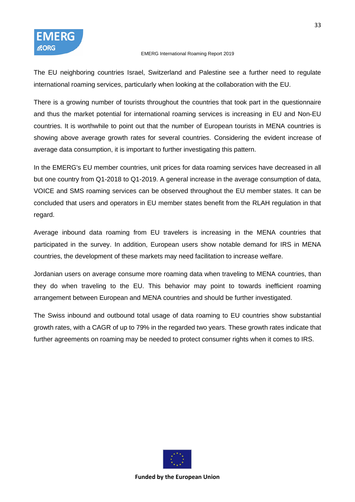The EU neighboring countries Israel, Switzerland and Palestine see a further need to regulate international roaming services, particularly when looking at the collaboration with the EU.

There is a growing number of tourists throughout the countries that took part in the questionnaire and thus the market potential for international roaming services is increasing in EU and Non-EU countries. It is worthwhile to point out that the number of European tourists in MENA countries is showing above average growth rates for several countries. Considering the evident increase of average data consumption, it is important to further investigating this pattern.

In the EMERG's EU member countries, unit prices for data roaming services have decreased in all but one country from Q1-2018 to Q1-2019. A general increase in the average consumption of data, VOICE and SMS roaming services can be observed throughout the EU member states. It can be concluded that users and operators in EU member states benefit from the RLAH regulation in that regard.

Average inbound data roaming from EU travelers is increasing in the MENA countries that participated in the survey. In addition, European users show notable demand for IRS in MENA countries, the development of these markets may need facilitation to increase welfare.

Jordanian users on average consume more roaming data when traveling to MENA countries, than they do when traveling to the EU. This behavior may point to towards inefficient roaming arrangement between European and MENA countries and should be further investigated.

The Swiss inbound and outbound total usage of data roaming to EU countries show substantial growth rates, with a CAGR of up to 79% in the regarded two years. These growth rates indicate that further agreements on roaming may be needed to protect consumer rights when it comes to IRS.

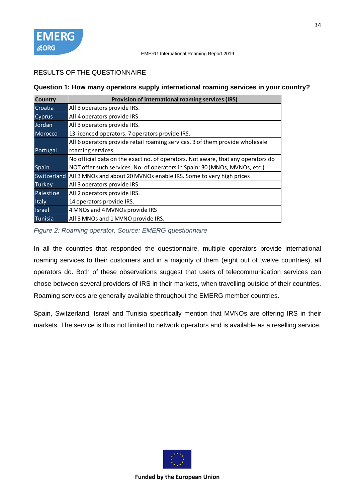# RESULTS OF THE QUESTIONNAIRE

# **Question 1: How many operators supply international roaming services in your country?**

| <b>Country</b> | Provision of international roaming services (IRS)                                |
|----------------|----------------------------------------------------------------------------------|
| Croatia        | All 3 operators provide IRS.                                                     |
| Cyprus         | All 4 operators provide IRS.                                                     |
| Jordan         | All 3 operators provide IRS.                                                     |
| <b>Morocco</b> | 13 licenced operators. 7 operators provide IRS.                                  |
|                | All 6 operators provide retail roaming services. 3 of them provide wholesale     |
| Portugal       | roaming services                                                                 |
|                | No official data on the exact no. of operators. Not aware, that any operators do |
| Spain          | NOT offer such services. No. of operators in Spain: 30 (MNOs, MVNOs, etc.)       |
| Switzerland    | All 3 MNOs and about 20 MVNOs enable IRS. Some to very high prices               |
| <b>Turkey</b>  | All 3 operators provide IRS.                                                     |
| Palestine      | All 2 operators provide IRS.                                                     |
| Italy          | 14 operators provide IRS.                                                        |
| <b>Israel</b>  | 4 MNOs and 4 MVNOs provide IRS                                                   |
| Tunisia        | All 3 MNOs and 1 MVNO provide IRS.                                               |

*Figure 2: Roaming operator, Source: EMERG questionnaire*

In all the countries that responded the questionnaire, multiple operators provide international roaming services to their customers and in a majority of them (eight out of twelve countries), all operators do. Both of these observations suggest that users of telecommunication services can chose between several providers of IRS in their markets, when travelling outside of their countries. Roaming services are generally available throughout the EMERG member countries.

Spain, Switzerland, Israel and Tunisia specifically mention that MVNOs are offering IRS in their markets. The service is thus not limited to network operators and is available as a reselling service.

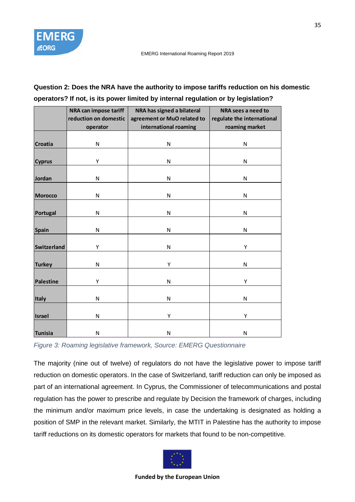

# **Question 2: Does the NRA have the authority to impose tariffs reduction on his domestic operators? If not, is its power limited by internal regulation or by legislation?**

|                    | NRA can impose tariff | NRA has signed a bilateral  | NRA sees a need to         |
|--------------------|-----------------------|-----------------------------|----------------------------|
|                    | reduction on domestic | agreement or MuO related to | regulate the international |
|                    | operator              | international roaming       | roaming market             |
|                    |                       |                             |                            |
| <b>Croatia</b>     | N                     | N                           | N                          |
|                    |                       |                             |                            |
| <b>Cyprus</b>      | Υ                     | N                           | N                          |
|                    |                       |                             |                            |
| Jordan             | N                     | N                           | N                          |
|                    |                       |                             |                            |
| <b>Morocco</b>     | N                     | ${\sf N}$                   | N                          |
|                    |                       |                             |                            |
| Portugal           | N                     | N                           | N                          |
|                    |                       |                             |                            |
| Spain              | N                     | N                           | N                          |
|                    |                       |                             |                            |
| <b>Switzerland</b> | Υ                     | N                           | Υ                          |
|                    |                       |                             |                            |
| <b>Turkey</b>      | N                     | Υ                           | N                          |
|                    |                       |                             |                            |
| <b>Palestine</b>   | Υ                     | N                           | Υ                          |
|                    |                       |                             |                            |
| Italy              | N                     | ${\sf N}$                   | N                          |
|                    |                       |                             |                            |
| <b>Israel</b>      | N                     | Υ                           | Υ                          |
|                    |                       |                             |                            |
| Tunisia            | N                     | N                           | N                          |

*Figure 3: Roaming legislative framework, Source: EMERG Questionnaire*

The majority (nine out of twelve) of regulators do not have the legislative power to impose tariff reduction on domestic operators. In the case of Switzerland, tariff reduction can only be imposed as part of an international agreement. In Cyprus, the Commissioner of telecommunications and postal regulation has the power to prescribe and regulate by Decision the framework of charges, including the minimum and/or maximum price levels, in case the undertaking is designated as holding a position of SMP in the relevant market. Similarly, the MTIT in Palestine has the authority to impose tariff reductions on its domestic operators for markets that found to be non-competitive.

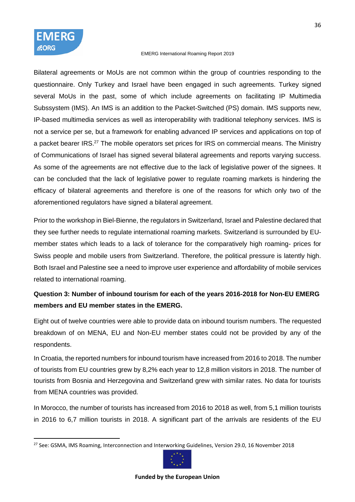

Bilateral agreements or MoUs are not common within the group of countries responding to the questionnaire. Only Turkey and Israel have been engaged in such agreements. Turkey signed several MoUs in the past, some of which include agreements on facilitating IP Multimedia Subssystem (IMS). An IMS is an addition to the Packet-Switched (PS) domain. IMS supports new, IP-based multimedia services as well as interoperability with traditional telephony services. IMS is not a service per se, but a framework for enabling advanced IP services and applications on top of a packet bearer IRS.<sup>27</sup> The mobile operators set prices for IRS on commercial means. The Ministry of Communications of Israel has signed several bilateral agreements and reports varying success. As some of the agreements are not effective due to the lack of legislative power of the signees. It can be concluded that the lack of legislative power to regulate roaming markets is hindering the efficacy of bilateral agreements and therefore is one of the reasons for which only two of the aforementioned regulators have signed a bilateral agreement.

Prior to the workshop in Biel-Bienne, the regulators in Switzerland, Israel and Palestine declared that they see further needs to regulate international roaming markets. Switzerland is surrounded by EUmember states which leads to a lack of tolerance for the comparatively high roaming- prices for Swiss people and mobile users from Switzerland. Therefore, the political pressure is latently high. Both Israel and Palestine see a need to improve user experience and affordability of mobile services related to international roaming.

# **Question 3: Number of inbound tourism for each of the years 2016-2018 for Non-EU EMERG members and EU member states in the EMERG.**

Eight out of twelve countries were able to provide data on inbound tourism numbers. The requested breakdown of on MENA, EU and Non-EU member states could not be provided by any of the respondents.

In Croatia, the reported numbers for inbound tourism have increased from 2016 to 2018. The number of tourists from EU countries grew by 8,2% each year to 12,8 million visitors in 2018. The number of tourists from Bosnia and Herzegovina and Switzerland grew with similar rates. No data for tourists from MENA countries was provided.

In Morocco, the number of tourists has increased from 2016 to 2018 as well, from 5,1 million tourists in 2016 to 6,7 million tourists in 2018. A significant part of the arrivals are residents of the EU

<sup>27</sup> See: GSMA, IMS Roaming, Interconnection and Interworking Guidelines, Version 29.0, 16 November 2018

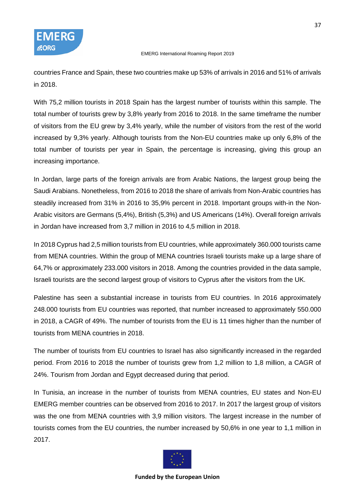

countries France and Spain, these two countries make up 53% of arrivals in 2016 and 51% of arrivals in 2018.

With 75,2 million tourists in 2018 Spain has the largest number of tourists within this sample. The total number of tourists grew by 3,8% yearly from 2016 to 2018. In the same timeframe the number of visitors from the EU grew by 3,4% yearly, while the number of visitors from the rest of the world increased by 9,3% yearly. Although tourists from the Non-EU countries make up only 6,8% of the total number of tourists per year in Spain, the percentage is increasing, giving this group an increasing importance.

In Jordan, large parts of the foreign arrivals are from Arabic Nations, the largest group being the Saudi Arabians. Nonetheless, from 2016 to 2018 the share of arrivals from Non-Arabic countries has steadily increased from 31% in 2016 to 35,9% percent in 2018. Important groups with-in the Non-Arabic visitors are Germans (5,4%), British (5,3%) and US Americans (14%). Overall foreign arrivals in Jordan have increased from 3,7 million in 2016 to 4,5 million in 2018.

In 2018 Cyprus had 2,5 million tourists from EU countries, while approximately 360.000 tourists came from MENA countries. Within the group of MENA countries Israeli tourists make up a large share of 64,7% or approximately 233.000 visitors in 2018. Among the countries provided in the data sample, Israeli tourists are the second largest group of visitors to Cyprus after the visitors from the UK.

Palestine has seen a substantial increase in tourists from EU countries. In 2016 approximately 248.000 tourists from EU countries was reported, that number increased to approximately 550.000 in 2018, a CAGR of 49%. The number of tourists from the EU is 11 times higher than the number of tourists from MENA countries in 2018.

The number of tourists from EU countries to Israel has also significantly increased in the regarded period. From 2016 to 2018 the number of tourists grew from 1,2 million to 1,8 million, a CAGR of 24%. Tourism from Jordan and Egypt decreased during that period.

In Tunisia, an increase in the number of tourists from MENA countries, EU states and Non-EU EMERG member countries can be observed from 2016 to 2017. In 2017 the largest group of visitors was the one from MENA countries with 3,9 million visitors. The largest increase in the number of tourists comes from the EU countries, the number increased by 50,6% in one year to 1,1 million in 2017.

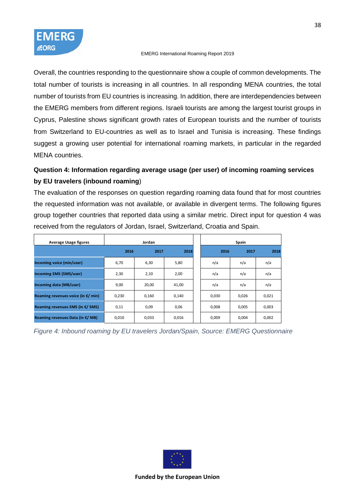Overall, the countries responding to the questionnaire show a couple of common developments. The total number of tourists is increasing in all countries. In all responding MENA countries, the total number of tourists from EU countries is increasing. In addition, there are interdependencies between the EMERG members from different regions. Israeli tourists are among the largest tourist groups in Cyprus, Palestine shows significant growth rates of European tourists and the number of tourists from Switzerland to EU-countries as well as to Israel and Tunisia is increasing. These findings suggest a growing user potential for international roaming markets, in particular in the regarded MENA countries.

# **Question 4: Information regarding average usage (per user) of incoming roaming services by EU travelers (inbound roaming**)

The evaluation of the responses on question regarding roaming data found that for most countries the requested information was not available, or available in divergent terms. The following figures group together countries that reported data using a similar metric. Direct input for question 4 was received from the regulators of Jordan, Israel, Switzerland, Croatia and Spain.

| Average Usage figures                     | Jordan |       |       |       | Spain |       |
|-------------------------------------------|--------|-------|-------|-------|-------|-------|
|                                           | 2016   | 2017  | 2018  | 2016  | 2017  | 2018  |
| Incoming voice (min/user)                 | 6,70   | 6,30  | 5,80  | n/a   | n/a   | n/a   |
| incoming SMS (SMS/user)                   | 2,30   | 2,10  | 2,00  | n/a   | n/a   | n/a   |
| Incoming data (MB/user)                   | 9,00   | 20,00 | 41,00 | n/a   | n/a   | n/a   |
| Roaming revenues voice (in $E/m$ in)      | 0,230  | 0,160 | 0,140 | 0,030 | 0,026 | 0,021 |
| Roaming revenues SMS (in $E/$ SMS)        | 0,11   | 0,09  | 0,06  | 0.008 | 0,005 | 0,003 |
| Roaming revenues Data (in $\epsilon$ /MB) | 0,010  | 0,033 | 0,016 | 0,009 | 0,004 | 0,002 |

*Figure 4: Inbound roaming by EU travelers Jordan/Spain, Source: EMERG Questionnaire*

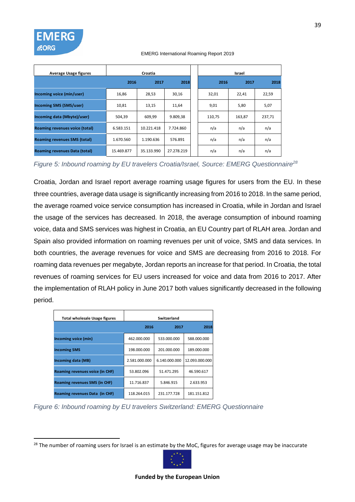| <b>Average Usage figures</b>         | Croatia    |            |            |  | Israel |        |        |  |
|--------------------------------------|------------|------------|------------|--|--------|--------|--------|--|
|                                      | 2016       | 2017       | 2018       |  | 2016   | 2017   | 2018   |  |
| Incoming voice (min/user)            | 16,86      | 28,53      | 30,16      |  | 32,01  | 22,41  | 22,59  |  |
| <b>Incoming SMS (SMS/user)</b>       | 10,81      | 13,15      | 11,64      |  | 9,01   | 5,80   | 5,07   |  |
| Incoming data (Mbyte)/user)          | 504,39     | 609,99     | 9.809,38   |  | 110,75 | 163,87 | 237,71 |  |
| Roaming revenues voice (total)       | 6.583.151  | 10.221.418 | 7.724.860  |  | n/a    | n/a    | n/a    |  |
| <b>Roaming revenues SMS (total)</b>  | 1.670.560  | 1.190.636  | 576.891    |  | n/a    | n/a    | n/a    |  |
| <b>Roaming revenues Data (total)</b> | 15.469.877 | 35.133.990 | 27.278.219 |  | n/a    | n/a    | n/a    |  |

*Figure 5: Inbound roaming by EU travelers Croatia/Israel, Source: EMERG Questionnaire<sup>28</sup>*

Croatia, Jordan and Israel report average roaming usage figures for users from the EU. In these three countries, average data usage is significantly increasing from 2016 to 2018. In the same period, the average roamed voice service consumption has increased in Croatia, while in Jordan and Israel the usage of the services has decreased. In 2018, the average consumption of inbound roaming voice, data and SMS services was highest in Croatia, an EU Country part of RLAH area. Jordan and Spain also provided information on roaming revenues per unit of voice, SMS and data services. In both countries, the average revenues for voice and SMS are decreasing from 2016 to 2018. For roaming data revenues per megabyte, Jordan reports an increase for that period. In Croatia, the total revenues of roaming services for EU users increased for voice and data from 2016 to 2017. After the implementation of RLAH policy in June 2017 both values significantly decreased in the following period.

| <b>Total wholesale Usage figures</b> |               | Switzerland   |                |
|--------------------------------------|---------------|---------------|----------------|
|                                      | 2016          | 2017          | 2018           |
| Incoming voice (min)                 | 462.000.000   | 533.000.000   | 588.000.000    |
| incoming SMS                         | 198.000.000   | 201.000.000   | 189.000.000    |
| Incoming data (MB)                   | 2.581.000.000 | 6.140.000.000 | 12.093.000.000 |
| Roaming revenues voice (in CHF)      | 53.802.096    | 51.471.295    | 46.590.617     |
| Roaming revenues SMS (in CHF)        | 11.716.837    | 5.846.915     | 2.633.953      |
| Roaming revenues Data (in CHF)       | 118.264.015   | 231.177.728   | 181.151.812    |

*Figure 6: Inbound roaming by EU travelers Switzerland: EMERG Questionnaire*



<sup>&</sup>lt;sup>28</sup> The number of roaming users for Israel is an estimate by the MoC, figures for average usage may be inaccurate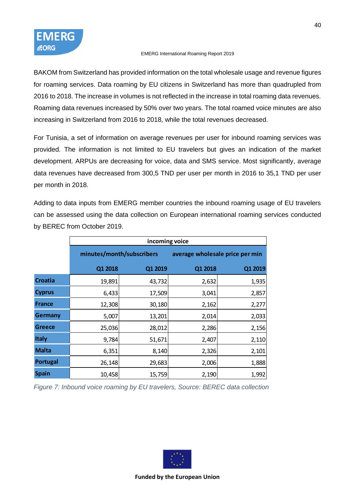BAKOM from Switzerland has provided information on the total wholesale usage and revenue figures for roaming services. Data roaming by EU citizens in Switzerland has more than quadrupled from 2016 to 2018. The increase in volumes is not reflected in the increase in total roaming data revenues. Roaming data revenues increased by 50% over two years. The total roamed voice minutes are also increasing in Switzerland from 2016 to 2018, while the total revenues decreased.

For Tunisia, a set of information on average revenues per user for inbound roaming services was provided. The information is not limited to EU travelers but gives an indication of the market development. ARPUs are decreasing for voice, data and SMS service. Most significantly, average data revenues have decreased from 300,5 TND per user per month in 2016 to 35,1 TND per user per month in 2018.

Adding to data inputs from EMERG member countries the inbound roaming usage of EU travelers can be assessed using the data collection on European international roaming services conducted by BEREC from October 2019.

|                 | incoming voice            |         |                                 |         |  |  |  |  |
|-----------------|---------------------------|---------|---------------------------------|---------|--|--|--|--|
|                 | minutes/month/subscribers |         | average wholesale price per min |         |  |  |  |  |
|                 | Q1 2018                   | Q1 2019 | Q1 2018                         | Q1 2019 |  |  |  |  |
| Croatia         | 19,891                    | 43,732  | 2,632                           | 1,935   |  |  |  |  |
| <b>Cyprus</b>   | 6,433                     | 17,509  | 3,041                           | 2,857   |  |  |  |  |
| <b>France</b>   | 12,308                    | 30,180  | 2,162                           | 2,277   |  |  |  |  |
| Germany         | 5,007                     | 13,201  | 2,014                           | 2,033   |  |  |  |  |
| <b>Greece</b>   | 25,036                    | 28,012  | 2,286                           | 2,156   |  |  |  |  |
| <b>Italy</b>    | 9,784                     | 51,671  | 2,407                           | 2,110   |  |  |  |  |
| <b>Malta</b>    | 6,351                     | 8,140   | 2,326                           | 2,101   |  |  |  |  |
| <b>Portugal</b> | 26,148                    | 29,683  | 2,006                           | 1,888   |  |  |  |  |
| <b>Spain</b>    | 10,458                    | 15,759  | 2,190                           | 1,992   |  |  |  |  |

*Figure 7: Inbound voice roaming by EU travelers, Source: BEREC data collection*

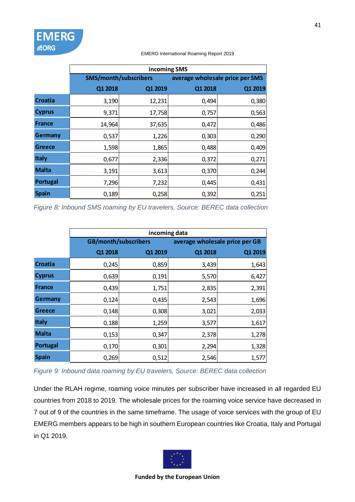|                | incoming SMS                 |         |                                 |         |  |  |  |  |
|----------------|------------------------------|---------|---------------------------------|---------|--|--|--|--|
|                | <b>SMS/month/subscribers</b> |         | average wholesale price per SMS |         |  |  |  |  |
|                | Q1 2018                      | Q1 2019 | Q1 2018                         | Q1 2019 |  |  |  |  |
| <b>Croatia</b> | 3,190                        | 12,231  | 0,494                           | 0,380   |  |  |  |  |
| <b>Cyprus</b>  | 9,371                        | 17,758  | 0,757                           | 0,563   |  |  |  |  |
| <b>France</b>  | 14,964                       | 37,635  | 0,472                           | 0,486   |  |  |  |  |
| Germany        | 0,537                        | 1,226   | 0,303                           | 0,290   |  |  |  |  |
| <b>Greece</b>  | 1,598                        | 1,865   | 0,488                           | 0,409   |  |  |  |  |
| <b>Italy</b>   | 0,677                        | 2,336   | 0,372                           | 0,271   |  |  |  |  |
| <b>Malta</b>   | 3,191                        | 3,613   | 0,370                           | 0,244   |  |  |  |  |
| Portugal       | 7,296                        | 7,232   | 0,445                           | 0,431   |  |  |  |  |
| <b>Spain</b>   | 0,189                        | 0,258   | 0,392                           | 0,251   |  |  |  |  |

**EMERG** 

**EORG** 

*Figure 8: Inbound SMS roaming by EU travelers, Source: BEREC data collection*

|                | incoming data        |         |                                |         |  |  |  |  |
|----------------|----------------------|---------|--------------------------------|---------|--|--|--|--|
|                | GB/month/subscribers |         | average wholesale price per GB |         |  |  |  |  |
|                | Q1 2018              | Q1 2019 | Q1 2018                        | Q1 2019 |  |  |  |  |
| <b>Croatia</b> | 0,245                | 0,859   | 3,439                          | 1,643   |  |  |  |  |
| <b>Cyprus</b>  | 0,639                | 0,191   | 5,570                          | 6,427   |  |  |  |  |
| <b>France</b>  | 0,439                | 1,751   | 2,835                          | 2,391   |  |  |  |  |
| <b>Germany</b> | 0,124                | 0,435   | 2,543                          | 1,696   |  |  |  |  |
| <b>Greece</b>  | 0,148                | 0,308   | 3,021                          | 2,033   |  |  |  |  |
| <b>Italy</b>   | 0,188                | 1,259   | 3,577                          | 1,617   |  |  |  |  |
| <b>Malta</b>   | 0,153                | 0,347   | 2,378                          | 1,278   |  |  |  |  |
| Portugal       | 0,170                | 0,301   | 2,294                          | 1,328   |  |  |  |  |
| <b>Spain</b>   | 0,269                | 0,512   | 2,546                          | 1,577   |  |  |  |  |

*Figure 9: Inbound data roaming by EU travelers, Source: BEREC data collection*

Under the RLAH regime, roaming voice minutes per subscriber have increased in all regarded EU countries from 2018 to 2019. The wholesale prices for the roaming voice service have decreased in 7 out of 9 of the countries in the same timeframe. The usage of voice services with the group of EU EMERG members appears to be high in southern European countries like Croatia, Italy and Portugal in Q1 2019.

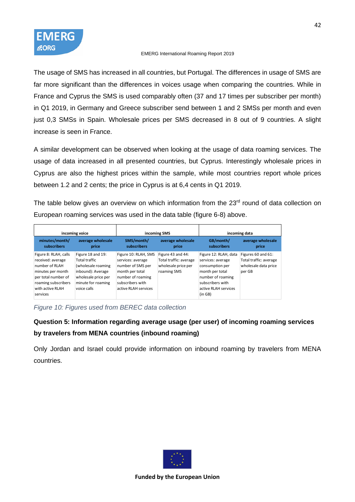The usage of SMS has increased in all countries, but Portugal. The differences in usage of SMS are far more significant than the differences in voices usage when comparing the countries. While in France and Cyprus the SMS is used comparably often (37 and 17 times per subscriber per month) in Q1 2019, in Germany and Greece subscriber send between 1 and 2 SMSs per month and even just 0,3 SMSs in Spain. Wholesale prices per SMS decreased in 8 out of 9 countries. A slight increase is seen in France.

A similar development can be observed when looking at the usage of data roaming services. The usage of data increased in all presented countries, but Cyprus. Interestingly wholesale prices in Cyprus are also the highest prices within the sample, while most countries report whole prices between 1.2 and 2 cents; the price in Cyprus is at 6,4 cents in Q1 2019.

The table below gives an overview on which information from the 23<sup>rd</sup> round of data collection on European roaming services was used in the data table (figure 6-8) above.

| incoming voice                                                                                                                                                  |                                                                                                                                           |                                                                                                                                                    | incoming SMS                                                                      | incoming data                                                                                                                                                |                                                                                |  |
|-----------------------------------------------------------------------------------------------------------------------------------------------------------------|-------------------------------------------------------------------------------------------------------------------------------------------|----------------------------------------------------------------------------------------------------------------------------------------------------|-----------------------------------------------------------------------------------|--------------------------------------------------------------------------------------------------------------------------------------------------------------|--------------------------------------------------------------------------------|--|
| minutes/month/<br>subscribers                                                                                                                                   | average wholesale<br>price                                                                                                                | SMS/month/<br>subscribers                                                                                                                          | average wholesale<br>price                                                        | GB/month/<br>subscribers                                                                                                                                     | average wholesale<br>price                                                     |  |
| Figure 8: RLAH, calls<br>received: average<br>number of RLAH<br>minutes per month<br>per total number of<br>roaming subscribers<br>with active RLAH<br>services | Figure 18 and 19:<br>Total traffic<br>(wholesale roaming<br>inbound): Average<br>wholesale price per<br>minute for roaming<br>voice calls | Figure 10: RLAH, SMS<br>services: average<br>number of SMS per<br>month per total<br>number of roaming<br>subscribers with<br>active RLAH services | Figure 43 and 44:<br>Total traffic: average<br>wholesale price per<br>roaming SMS | Figure 12: RLAH, data<br>services: average<br>consumption per<br>month per total<br>number of roaming<br>subscribers with<br>active RLAH services<br>(in GB) | Figures 60 and 61:<br>Total traffic: average<br>wholesale data price<br>per GB |  |

*Figure 10: Figures used from BEREC data collection*

# **Question 5: Information regarding average usage (per user) of incoming roaming services by travelers from MENA countries (inbound roaming)**

Only Jordan and Israel could provide information on inbound roaming by travelers from MENA countries.

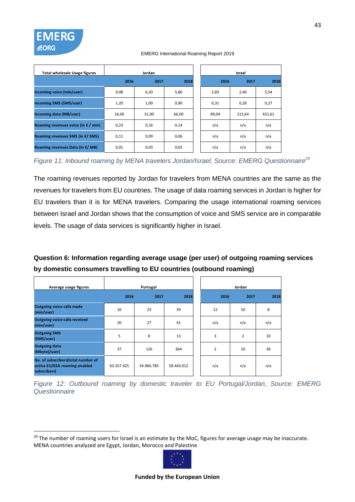| <b>Total wholesale Usage figures</b>         | Jordan |       |       | Israel |        |        |  |
|----------------------------------------------|--------|-------|-------|--------|--------|--------|--|
|                                              | 2016   | 2017  | 2018  | 2016   | 2017   | 2018   |  |
| Incoming voice (min/user)                    | 9,08   | 6,20  | 5,80  | 2,83   | 2,40   | 3,54   |  |
| incoming SMS (SMS/user)                      | 1,20   | 1,00  | 0,90  | 0,31   | 0,26   | 0,27   |  |
| Incoming data (MB/user)                      | 16,00  | 31,00 | 66,00 | 89,04  | 213,64 | 431,61 |  |
| Roaming revenues voice (in $\epsilon$ / min) | 0,23   | 0,16  | 0,14  | n/a    | n/a    | n/a    |  |
| Roaming revenues SMS (in $E/$ SMS)           | 0,11   | 0,09  | 0,06  | n/a    | n/a    | n/a    |  |
| Roaming revenues Data (in $\epsilon$ /MB)    | 0,01   | 0,03  | 0,02  | n/a    | n/a    | n/a    |  |

*Figure 11: Inbound roaming by MENA travelers Jordan/Israel, Source: EMERG Questionnaire<sup>29</sup>*

The roaming revenues reported by Jordan for travelers from MENA countries are the same as the revenues for travelers from EU countries. The usage of data roaming services in Jordan is higher for EU travelers than it is for MENA travelers. Comparing the usage international roaming services between Israel and Jordan shows that the consumption of voice and SMS service are in comparable levels. The usage of data services is significantly higher in Israel.

# **Question 6: Information regarding average usage (per user) of outgoing roaming services by domestic consumers travelling to EU countries (outbound roaming)**

| Average usage figures                                                               | Portugal   |            |            | Jordan         |                |      |
|-------------------------------------------------------------------------------------|------------|------------|------------|----------------|----------------|------|
|                                                                                     | 2016       | 2017       | 2018       | 2016           | 2017           | 2018 |
| <b>Outgoing voice calls made</b><br>(min/user)                                      | 16         | 23         | 39         | 12             | 10             | 8    |
| <b>Outgoing voice calls received</b><br>(min/user)                                  | 20         | 27         | 41         | n/a            | n/a            | n/a  |
| <b>Outgoing SMS</b><br>(SMS/user)                                                   | 5          | 8          | 13         | 3              | $\overline{2}$ | 10   |
| <b>Outgoing data</b><br>(Mbyte)/user)                                               | 37         | 126        | 364        | $\overline{2}$ | 10             | 36   |
| No. of subscribers(total number of<br>active EU/EEA roaming enabled<br>subscribers) | 63.357.425 | 54.966.785 | 58.443.012 | n/a            | n/a            | n/a  |

*Figure 12: Outbound roaming by domestic traveler to EU Portugal/Jordan, Source: EMERG Questionnaire*

<sup>&</sup>lt;sup>29</sup> The number of roaming users for Israel is an estimate by the MoC, figures for average usage may be inaccurate. MENA countries analyzed are Egypt, Jordan, Morocco and Palestine

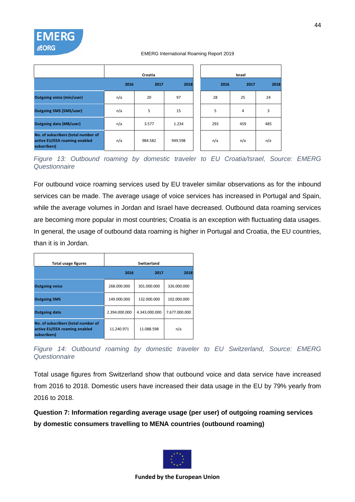|                                                                                      |      | Croatia |         |      | Israel |      |
|--------------------------------------------------------------------------------------|------|---------|---------|------|--------|------|
|                                                                                      | 2016 | 2017    | 2018    | 2016 | 2017   | 2018 |
| <b>Outgoing voice (min/user)</b>                                                     | n/a  | 20      | 97      | 28   | 25     | 24   |
| <b>Outgoing SMS (SMS/user)</b>                                                       | n/a  | 5       | 15      | 5    | 4      | 3    |
| <b>Outgoing data (MB/user)</b>                                                       | n/a  | 3.577   | 1.234   | 293  | 459    | 485  |
| No. of subscribers (total number of<br>active EU/EEA roaming enabled<br>subscribers) | n/a  | 984.582 | 949.598 | n/a  | n/a    | n/a  |

*Figure 13: Outbound roaming by domestic traveler to EU Croatia/Israel, Source: EMERG Questionnaire*

For outbound voice roaming services used by EU traveler similar observations as for the inbound services can be made. The average usage of voice services has increased in Portugal and Spain, while the average volumes in Jordan and Israel have decreased. Outbound data roaming services are becoming more popular in most countries; Croatia is an exception with fluctuating data usages. In general, the usage of outbound data roaming is higher in Portugal and Croatia, the EU countries, than it is in Jordan.

| Total usage figures                                                                  |               | Switzerland   |               |
|--------------------------------------------------------------------------------------|---------------|---------------|---------------|
|                                                                                      | 2016          | 2017          | 2018          |
| <b>Outgoing voice</b>                                                                | 268.000.000   | 301.000.000   | 326.000.000   |
| <b>Outgoing SMS</b>                                                                  | 149.000.000   | 132.000.000   | 102.000.000   |
| <b>Outgoing data</b>                                                                 | 2.394.000.000 | 4.343.000.000 | 7.677.000.000 |
| No. of subscribers (total number of<br>active EU/EEA roaming enabled<br>subscribers) | 11.240.971    | 11.088.598    | n/a           |

*Figure 14: Outbound roaming by domestic traveler to EU Switzerland, Source: EMERG Questionnaire*

Total usage figures from Switzerland show that outbound voice and data service have increased from 2016 to 2018. Domestic users have increased their data usage in the EU by 79% yearly from 2016 to 2018.

**Question 7: Information regarding average usage (per user) of outgoing roaming services by domestic consumers travelling to MENA countries (outbound roaming)**

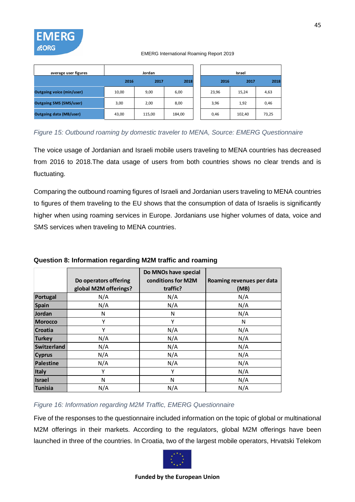

| average user figures             | Jordan |        |        |       | Israel |       |
|----------------------------------|--------|--------|--------|-------|--------|-------|
|                                  | 2016   | 2017   | 2018   | 2016  | 2017   | 2018  |
| <b>Outgoing voice (min/user)</b> | 10,00  | 9,00   | 6,00   | 23,96 | 15,24  | 4,63  |
| <b>Outgoing SMS (SMS/user)</b>   | 3,00   | 2,00   | 8,00   | 3,96  | 1,92   | 0,46  |
| <b>Outgoing data (MB/user)</b>   | 43,00  | 115,00 | 184,00 | 0,46  | 102,40 | 73,25 |

# *Figure 15: Outbound roaming by domestic traveler to MENA, Source: EMERG Questionnaire*

The voice usage of Jordanian and Israeli mobile users traveling to MENA countries has decreased from 2016 to 2018.The data usage of users from both countries shows no clear trends and is fluctuating.

Comparing the outbound roaming figures of Israeli and Jordanian users traveling to MENA countries to figures of them traveling to the EU shows that the consumption of data of Israelis is significantly higher when using roaming services in Europe. Jordanians use higher volumes of data, voice and SMS services when traveling to MENA countries.

|                | Do operators offering<br>global M2M offerings? | Do MNOs have special<br>conditions for M2M<br>traffic? | Roaming revenues per data<br>(MB) |
|----------------|------------------------------------------------|--------------------------------------------------------|-----------------------------------|
| Portugal       | N/A                                            | N/A                                                    | N/A                               |
| <b>Spain</b>   | N/A                                            | N/A                                                    | N/A                               |
| Jordan         | N                                              | N                                                      | N/A                               |
| <b>Morocco</b> | Υ                                              | Y                                                      | N                                 |
| <b>Croatia</b> | Υ                                              | N/A                                                    | N/A                               |
| <b>Turkey</b>  | N/A                                            | N/A                                                    | N/A                               |
| Switzerland    | N/A                                            | N/A                                                    | N/A                               |
| <b>Cyprus</b>  | N/A                                            | N/A                                                    | N/A                               |
| Palestine      | N/A                                            | N/A                                                    | N/A                               |
| <b>Italy</b>   | Y                                              | Y                                                      | N/A                               |
| <b>Israel</b>  | N                                              | N                                                      | N/A                               |
| <b>Tunisia</b> | N/A                                            | N/A                                                    | N/A                               |

### **Question 8: Information regarding M2M traffic and roaming**

### *Figure 16: Information regarding M2M Traffic, EMERG Questionnaire*

Five of the responses to the questionnaire included information on the topic of global or multinational M2M offerings in their markets. According to the regulators, global M2M offerings have been launched in three of the countries. In Croatia, two of the largest mobile operators, Hrvatski Telekom

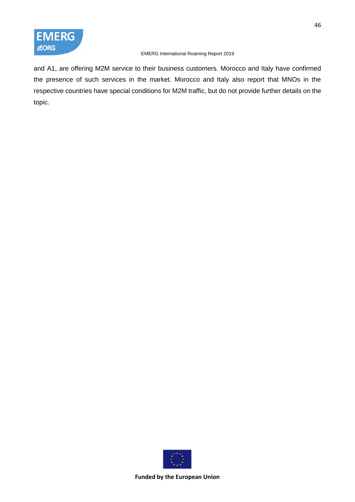

and A1, are offering M2M service to their business customers. Morocco and Italy have confirmed the presence of such services in the market. Morocco and Italy also report that MNOs in the respective countries have special conditions for M2M traffic, but do not provide further details on the topic.

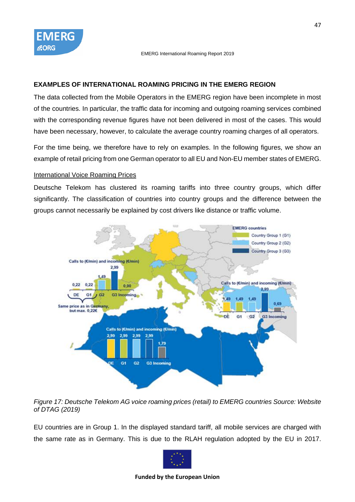### <span id="page-46-0"></span>**EXAMPLES OF INTERNATIONAL ROAMING PRICING IN THE EMERG REGION**

The data collected from the Mobile Operators in the EMERG region have been incomplete in most of the countries. In particular, the traffic data for incoming and outgoing roaming services combined with the corresponding revenue figures have not been delivered in most of the cases. This would have been necessary, however, to calculate the average country roaming charges of all operators.

For the time being, we therefore have to rely on examples. In the following figures, we show an example of retail pricing from one German operator to all EU and Non-EU member states of EMERG.

### International Voice Roaming Prices

Deutsche Telekom has clustered its roaming tariffs into three country groups, which differ significantly. The classification of countries into country groups and the difference between the groups cannot necessarily be explained by cost drivers like distance or traffic volume.



*Figure 17: Deutsche Telekom AG voice roaming prices (retail) to EMERG countries Source: Website of DTAG (2019)*

EU countries are in Group 1. In the displayed standard tariff, all mobile services are charged with the same rate as in Germany. This is due to the RLAH regulation adopted by the EU in 2017.

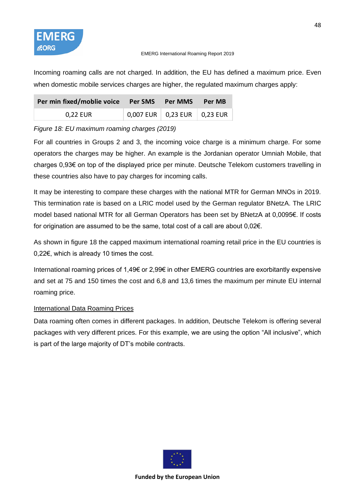

Incoming roaming calls are not charged. In addition, the EU has defined a maximum price. Even when domestic mobile services charges are higher, the regulated maximum charges apply:

| Per min fixed/moblie voice  Per SMS  Per MMS  Per MB |                                                     |  |
|------------------------------------------------------|-----------------------------------------------------|--|
| 0,22 EUR                                             | $\vert$ 0,007 EUR $\vert$ 0,23 EUR $\vert$ 0,23 EUR |  |

# *Figure 18: EU maximum roaming charges (2019)*

For all countries in Groups 2 and 3, the incoming voice charge is a minimum charge. For some operators the charges may be higher. An example is the Jordanian operator Umniah Mobile, that charges 0,93€ on top of the displayed price per minute. Deutsche Telekom customers travelling in these countries also have to pay charges for incoming calls.

It may be interesting to compare these charges with the national MTR for German MNOs in 2019. This termination rate is based on a LRIC model used by the German regulator BNetzA. The LRIC model based national MTR for all German Operators has been set by BNetzA at 0,0095€. If costs for origination are assumed to be the same, total cost of a call are about 0,02€.

As shown in figure 18 the capped maximum international roaming retail price in the EU countries is 0,22€, which is already 10 times the cost.

International roaming prices of 1,49€ or 2,99€ in other EMERG countries are exorbitantly expensive and set at 75 and 150 times the cost and 6,8 and 13,6 times the maximum per minute EU internal roaming price.

# International Data Roaming Prices

Data roaming often comes in different packages. In addition, Deutsche Telekom is offering several packages with very different prices. For this example, we are using the option "All inclusive", which is part of the large majority of DT's mobile contracts.

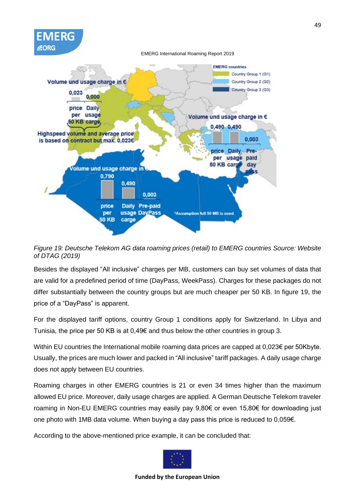

*Figure 19: Deutsche Telekom AG data roaming prices (retail) to EMERG countries Source: Website of DTAG (2019)*

Besides the displayed "All inclusive" charges per MB, customers can buy set volumes of data that are valid for a predefined period of time (DayPass, WeekPass). Charges for these packages do not differ substantially between the country groups but are much cheaper per 50 KB. In figure 19, the price of a "DayPass" is apparent.

For the displayed tariff options, country Group 1 conditions apply for Switzerland. In Libya and Tunisia, the price per 50 KB is at  $0.496$  and thus below the other countries in group 3.

Within EU countries the International mobile roaming data prices are capped at 0,023€ per 50Kbyte. Usually, the prices are much lower and packed in "All inclusive" tariff packages. A daily usage charge does not apply between EU countries.

Roaming charges in other EMERG countries is 21 or even 34 times higher than the maximum allowed EU price. Moreover, daily usage charges are applied. A German Deutsche Telekom traveler roaming in Non-EU EMERG countries may easily pay 9,80€ or even 15,80€ for downloading just one photo with 1MB data volume. When buying a day pass this price is reduced to 0,059€.

According to the above-mentioned price example, it can be concluded that:

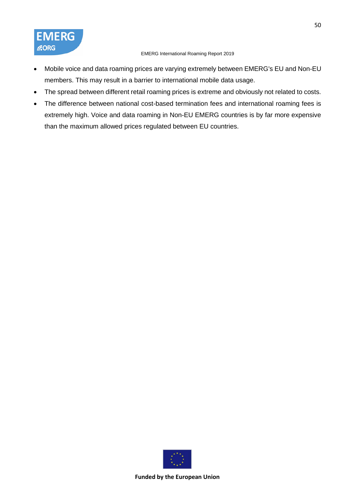- Mobile voice and data roaming prices are varying extremely between EMERG's EU and Non-EU members. This may result in a barrier to international mobile data usage.
- The spread between different retail roaming prices is extreme and obviously not related to costs.
- The difference between national cost-based termination fees and international roaming fees is extremely high. Voice and data roaming in Non-EU EMERG countries is by far more expensive than the maximum allowed prices regulated between EU countries.



50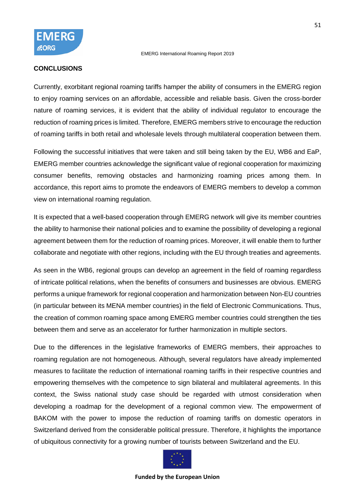#### **CONCLUSIONS**

Currently, exorbitant regional roaming tariffs hamper the ability of consumers in the EMERG region to enjoy roaming services on an affordable, accessible and reliable basis. Given the cross-border nature of roaming services, it is evident that the ability of individual regulator to encourage the reduction of roaming prices is limited. Therefore, EMERG members strive to encourage the reduction of roaming tariffs in both retail and wholesale levels through multilateral cooperation between them.

Following the successful initiatives that were taken and still being taken by the EU, WB6 and EaP, EMERG member countries acknowledge the significant value of regional cooperation for maximizing consumer benefits, removing obstacles and harmonizing roaming prices among them. In accordance, this report aims to promote the endeavors of EMERG members to develop a common view on international roaming regulation.

It is expected that a well-based cooperation through EMERG network will give its member countries the ability to harmonise their national policies and to examine the possibility of developing a regional agreement between them for the reduction of roaming prices. Moreover, it will enable them to further collaborate and negotiate with other regions, including with the EU through treaties and agreements.

As seen in the WB6, regional groups can develop an agreement in the field of roaming regardless of intricate political relations, when the benefits of consumers and businesses are obvious. EMERG performs a unique framework for regional cooperation and harmonization between Non-EU countries (in particular between its MENA member countries) in the field of Electronic Communications. Thus, the creation of common roaming space among EMERG member countries could strengthen the ties between them and serve as an accelerator for further harmonization in multiple sectors.

Due to the differences in the legislative frameworks of EMERG members, their approaches to roaming regulation are not homogeneous. Although, several regulators have already implemented measures to facilitate the reduction of international roaming tariffs in their respective countries and empowering themselves with the competence to sign bilateral and multilateral agreements. In this context, the Swiss national study case should be regarded with utmost consideration when developing a roadmap for the development of a regional common view. The empowerment of BAKOM with the power to impose the reduction of roaming tariffs on domestic operators in Switzerland derived from the considerable political pressure. Therefore, it highlights the importance of ubiquitous connectivity for a growing number of tourists between Switzerland and the EU.

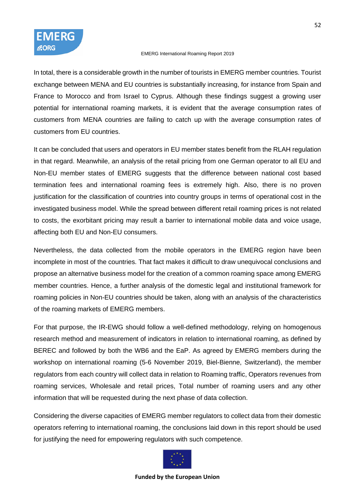

In total, there is a considerable growth in the number of tourists in EMERG member countries. Tourist exchange between MENA and EU countries is substantially increasing, for instance from Spain and France to Morocco and from Israel to Cyprus. Although these findings suggest a growing user potential for international roaming markets, it is evident that the average consumption rates of customers from MENA countries are failing to catch up with the average consumption rates of customers from EU countries.

It can be concluded that users and operators in EU member states benefit from the RLAH regulation in that regard. Meanwhile, an analysis of the retail pricing from one German operator to all EU and Non-EU member states of EMERG suggests that the difference between national cost based termination fees and international roaming fees is extremely high. Also, there is no proven justification for the classification of countries into country groups in terms of operational cost in the investigated business model. While the spread between different retail roaming prices is not related to costs, the exorbitant pricing may result a barrier to international mobile data and voice usage, affecting both EU and Non-EU consumers.

Nevertheless, the data collected from the mobile operators in the EMERG region have been incomplete in most of the countries. That fact makes it difficult to draw unequivocal conclusions and propose an alternative business model for the creation of a common roaming space among EMERG member countries. Hence, a further analysis of the domestic legal and institutional framework for roaming policies in Non-EU countries should be taken, along with an analysis of the characteristics of the roaming markets of EMERG members.

For that purpose, the IR-EWG should follow a well-defined methodology, relying on homogenous research method and measurement of indicators in relation to international roaming, as defined by BEREC and followed by both the WB6 and the EaP. As agreed by EMERG members during the workshop on international roaming (5-6 November 2019, Biel-Bienne, Switzerland), the member regulators from each country will collect data in relation to Roaming traffic, Operators revenues from roaming services, Wholesale and retail prices, Total number of roaming users and any other information that will be requested during the next phase of data collection.

Considering the diverse capacities of EMERG member regulators to collect data from their domestic operators referring to international roaming, the conclusions laid down in this report should be used for justifying the need for empowering regulators with such competence.

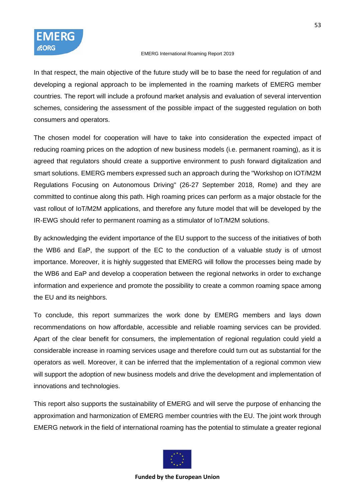

In that respect, the main objective of the future study will be to base the need for regulation of and developing a regional approach to be implemented in the roaming markets of EMERG member countries. The report will include a profound market analysis and evaluation of several intervention schemes, considering the assessment of the possible impact of the suggested regulation on both consumers and operators.

The chosen model for cooperation will have to take into consideration the expected impact of reducing roaming prices on the adoption of new business models (i.e. permanent roaming), as it is agreed that regulators should create a supportive environment to push forward digitalization and smart solutions. EMERG members expressed such an approach during the "Workshop on IOT/M2M Regulations Focusing on Autonomous Driving" (26-27 September 2018, Rome) and they are committed to continue along this path. High roaming prices can perform as a major obstacle for the vast rollout of IoT/M2M applications, and therefore any future model that will be developed by the IR-EWG should refer to permanent roaming as a stimulator of IoT/M2M solutions.

By acknowledging the evident importance of the EU support to the success of the initiatives of both the WB6 and EaP, the support of the EC to the conduction of a valuable study is of utmost importance. Moreover, it is highly suggested that EMERG will follow the processes being made by the WB6 and EaP and develop a cooperation between the regional networks in order to exchange information and experience and promote the possibility to create a common roaming space among the EU and its neighbors.

To conclude, this report summarizes the work done by EMERG members and lays down recommendations on how affordable, accessible and reliable roaming services can be provided. Apart of the clear benefit for consumers, the implementation of regional regulation could yield a considerable increase in roaming services usage and therefore could turn out as substantial for the operators as well. Moreover, it can be inferred that the implementation of a regional common view will support the adoption of new business models and drive the development and implementation of innovations and technologies.

This report also supports the sustainability of EMERG and will serve the purpose of enhancing the approximation and harmonization of EMERG member countries with the EU. The joint work through EMERG network in the field of international roaming has the potential to stimulate a greater regional

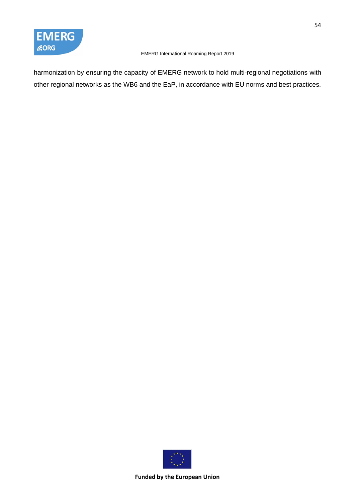

harmonization by ensuring the capacity of EMERG network to hold multi-regional negotiations with other regional networks as the WB6 and the EaP, in accordance with EU norms and best practices.

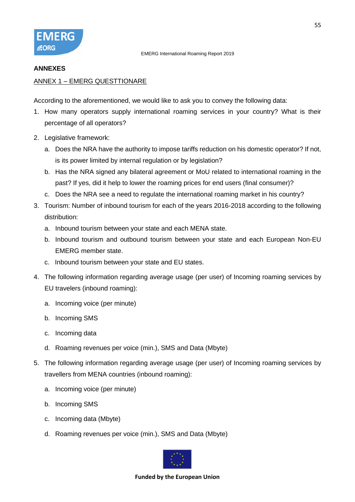

#### **ANNEXES**

### ANNEX 1 – EMERG QUESTTIONARE

According to the aforementioned, we would like to ask you to convey the following data:

- 1. How many operators supply international roaming services in your country? What is their percentage of all operators?
- 2. Legislative framework:
	- a. Does the NRA have the authority to impose tariffs reduction on his domestic operator? If not, is its power limited by internal regulation or by legislation?
	- b. Has the NRA signed any bilateral agreement or MoU related to international roaming in the past? If yes, did it help to lower the roaming prices for end users (final consumer)?
	- c. Does the NRA see a need to regulate the international roaming market in his country?
- 3. Tourism: Number of inbound tourism for each of the years 2016-2018 according to the following distribution:
	- a. Inbound tourism between your state and each MENA state.
	- b. Inbound tourism and outbound tourism between your state and each European Non-EU EMERG member state.
	- c. Inbound tourism between your state and EU states.
- 4. The following information regarding average usage (per user) of Incoming roaming services by EU travelers (inbound roaming):
	- a. Incoming voice (per minute)
	- b. Incoming SMS
	- c. Incoming data
	- d. Roaming revenues per voice (min.), SMS and Data (Mbyte)
- 5. The following information regarding average usage (per user) of Incoming roaming services by travellers from MENA countries (inbound roaming):
	- a. Incoming voice (per minute)
	- b. Incoming SMS
	- c. Incoming data (Mbyte)
	- d. Roaming revenues per voice (min.), SMS and Data (Mbyte)

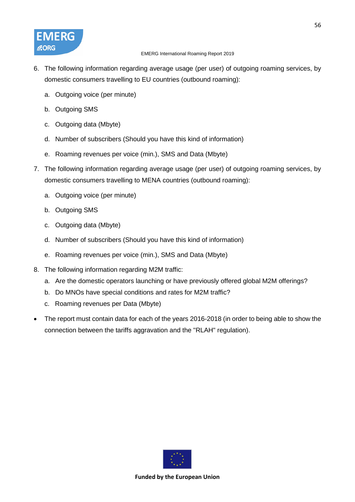

- 6. The following information regarding average usage (per user) of outgoing roaming services, by domestic consumers travelling to EU countries (outbound roaming):
	- a. Outgoing voice (per minute)
	- b. Outgoing SMS
	- c. Outgoing data (Mbyte)
	- d. Number of subscribers (Should you have this kind of information)
	- e. Roaming revenues per voice (min.), SMS and Data (Mbyte)
- 7. The following information regarding average usage (per user) of outgoing roaming services, by domestic consumers travelling to MENA countries (outbound roaming):
	- a. Outgoing voice (per minute)
	- b. Outgoing SMS
	- c. Outgoing data (Mbyte)
	- d. Number of subscribers (Should you have this kind of information)
	- e. Roaming revenues per voice (min.), SMS and Data (Mbyte)
- 8. The following information regarding M2M traffic:
	- a. Are the domestic operators launching or have previously offered global M2M offerings?
	- b. Do MNOs have special conditions and rates for M2M traffic?
	- c. Roaming revenues per Data (Mbyte)
- The report must contain data for each of the years 2016-2018 (in order to being able to show the connection between the tariffs aggravation and the "RLAH" regulation).

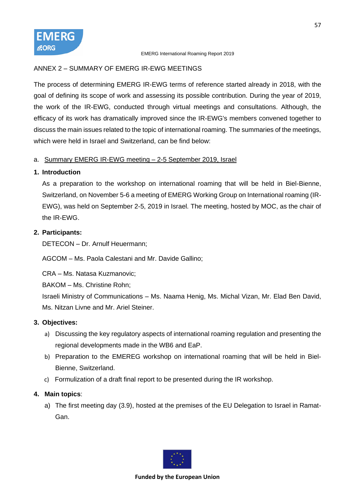

### ANNEX 2 – SUMMARY OF EMERG IR-EWG MEETINGS

The process of determining EMERG IR-EWG terms of reference started already in 2018, with the goal of defining its scope of work and assessing its possible contribution. During the year of 2019, the work of the IR-EWG, conducted through virtual meetings and consultations. Although, the efficacy of its work has dramatically improved since the IR-EWG's members convened together to discuss the main issues related to the topic of international roaming. The summaries of the meetings, which were held in Israel and Switzerland, can be find below:

### a. Summary EMERG IR-EWG meeting – 2-5 September 2019, Israel

### **1. Introduction**

As a preparation to the workshop on international roaming that will be held in Biel-Bienne, Switzerland, on November 5-6 a meeting of EMERG Working Group on International roaming (IR-EWG), was held on September 2-5, 2019 in Israel. The meeting, hosted by MOC, as the chair of the IR-EWG.

### **2. Participants:**

DETECON – Dr. Arnulf Heuermann;

AGCOM – Ms. Paola Calestani and Mr. Davide Gallino;

CRA – Ms. Natasa Kuzmanovic;

BAKOM – Ms. Christine Rohn;

Israeli Ministry of Communications – Ms. Naama Henig, Ms. Michal Vizan, Mr. Elad Ben David, Ms. Nitzan Livne and Mr. Ariel Steiner.

### **3. Objectives:**

- a) Discussing the key regulatory aspects of international roaming regulation and presenting the regional developments made in the WB6 and EaP.
- b) Preparation to the EMEREG workshop on international roaming that will be held in Biel-Bienne, Switzerland.
- c) Formulization of a draft final report to be presented during the IR workshop.

# **4. Main topics**:

a) The first meeting day (3.9), hosted at the premises of the EU Delegation to Israel in Ramat-Gan.

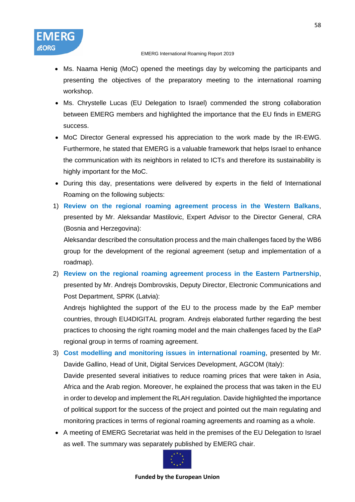**CORG** 

- Ms. Naama Henig (MoC) opened the meetings day by welcoming the participants and presenting the objectives of the preparatory meeting to the international roaming workshop.
- Ms. Chrystelle Lucas (EU Delegation to Israel) commended the strong collaboration between EMERG members and highlighted the importance that the EU finds in EMERG success.
- MoC Director General expressed his appreciation to the work made by the IR-EWG. Furthermore, he stated that EMERG is a valuable framework that helps Israel to enhance the communication with its neighbors in related to ICTs and therefore its sustainability is highly important for the MoC.
- During this day, presentations were delivered by experts in the field of International Roaming on the following subjects:
- 1) **Review on the regional roaming agreement process in the Western Balkans**, presented by Mr. Aleksandar Mastilovic, Expert Advisor to the Director General, CRA (Bosnia and Herzegovina):

Aleksandar described the consultation process and the main challenges faced by the WB6 group for the development of the regional agreement (setup and implementation of a roadmap).

2) **Review on the regional roaming agreement process in the Eastern Partnership**, presented by Mr. Andrejs Dombrovskis, Deputy Director, Electronic Communications and Post Department, SPRK (Latvia):

Andrejs highlighted the support of the EU to the process made by the EaP member countries, through EU4DIGITAL program. Andrejs elaborated further regarding the best practices to choosing the right roaming model and the main challenges faced by the EaP regional group in terms of roaming agreement.

- 3) **Cost modelling and monitoring issues in international roaming**, presented by Mr. Davide Gallino, Head of Unit, Digital Services Development, AGCOM (Italy): Davide presented several initiatives to reduce roaming prices that were taken in Asia, Africa and the Arab region. Moreover, he explained the process that was taken in the EU in order to develop and implement the RLAH regulation. Davide highlighted the importance of political support for the success of the project and pointed out the main regulating and monitoring practices in terms of regional roaming agreements and roaming as a whole.
- A meeting of EMERG Secretariat was held in the premises of the EU Delegation to Israel as well. The summary was separately published by EMERG chair.

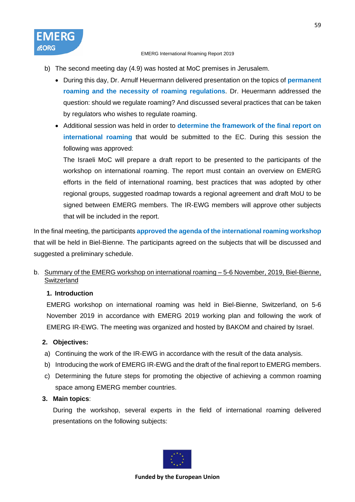- b) The second meeting day (4.9) was hosted at MoC premises in Jerusalem.
	- During this day, Dr. Arnulf Heuermann delivered presentation on the topics of **permanent roaming and the necessity of roaming regulations**. Dr. Heuermann addressed the question: should we regulate roaming? And discussed several practices that can be taken by regulators who wishes to regulate roaming.
	- Additional session was held in order to **determine the framework of the final report on international roaming** that would be submitted to the EC. During this session the following was approved:

The Israeli MoC will prepare a draft report to be presented to the participants of the workshop on international roaming. The report must contain an overview on EMERG efforts in the field of international roaming, best practices that was adopted by other regional groups, suggested roadmap towards a regional agreement and draft MoU to be signed between EMERG members. The IR-EWG members will approve other subjects that will be included in the report.

In the final meeting, the participants **approved the agenda of the international roaming workshop** that will be held in Biel-Bienne. The participants agreed on the subjects that will be discussed and suggested a preliminary schedule.

# b. Summary of the EMERG workshop on international roaming – 5-6 November, 2019, Biel-Bienne, **Switzerland**

# **1. Introduction**

EMERG workshop on international roaming was held in Biel-Bienne, Switzerland, on 5-6 November 2019 in accordance with EMERG 2019 working plan and following the work of EMERG IR-EWG. The meeting was organized and hosted by BAKOM and chaired by Israel.

# **2. Objectives:**

- a) Continuing the work of the IR-EWG in accordance with the result of the data analysis.
- b) Introducing the work of EMERG IR-EWG and the draft of the final report to EMERG members.
- c) Determining the future steps for promoting the objective of achieving a common roaming space among EMERG member countries.

# **3. Main topics**:

During the workshop, several experts in the field of international roaming delivered presentations on the following subjects:

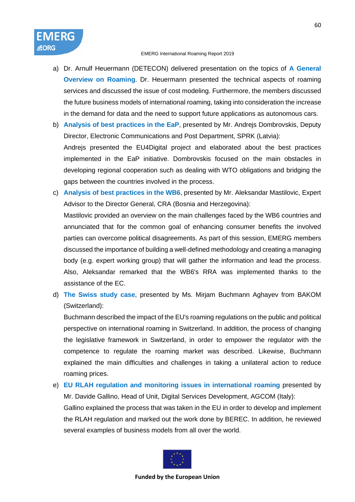FMFRG

**CORG** 

- a) Dr. Arnulf Heuermann (DETECON) delivered presentation on the topics of **A General Overview on Roaming**. Dr. Heuermann presented the technical aspects of roaming services and discussed the issue of cost modeling. Furthermore, the members discussed the future business models of international roaming, taking into consideration the increase in the demand for data and the need to support future applications as autonomous cars.
- b) **Analysis of best practices in the EaP**, presented by Mr. Andrejs Dombrovskis, Deputy Director, Electronic Communications and Post Department, SPRK (Latvia): Andrejs presented the EU4Digital project and elaborated about the best practices implemented in the EaP initiative. Dombrovskis focused on the main obstacles in developing regional cooperation such as dealing with WTO obligations and bridging the gaps between the countries involved in the process.
- c) **Analysis of best practices in the WB6**, presented by Mr. Aleksandar Mastilovic, Expert Advisor to the Director General, CRA (Bosnia and Herzegovina):

Mastilovic provided an overview on the main challenges faced by the WB6 countries and annunciated that for the common goal of enhancing consumer benefits the involved parties can overcome political disagreements. As part of this session, EMERG members discussed the importance of building a well-defined methodology and creating a managing body (e.g. expert working group) that will gather the information and lead the process. Also, Aleksandar remarked that the WB6's RRA was implemented thanks to the assistance of the EC.

d) **The Swiss study case**, presented by Ms. Mirjam Buchmann Aghayev from BAKOM (Switzerland):

Buchmann described the impact of the EU's roaming regulations on the public and political perspective on international roaming in Switzerland. In addition, the process of changing the legislative framework in Switzerland, in order to empower the regulator with the competence to regulate the roaming market was described. Likewise, Buchmann explained the main difficulties and challenges in taking a unilateral action to reduce roaming prices.

e) **EU RLAH regulation and monitoring issues in international roaming** presented by Mr. Davide Gallino, Head of Unit, Digital Services Development, AGCOM (Italy): Gallino explained the process that was taken in the EU in order to develop and implement the RLAH regulation and marked out the work done by BEREC. In addition, he reviewed several examples of business models from all over the world.